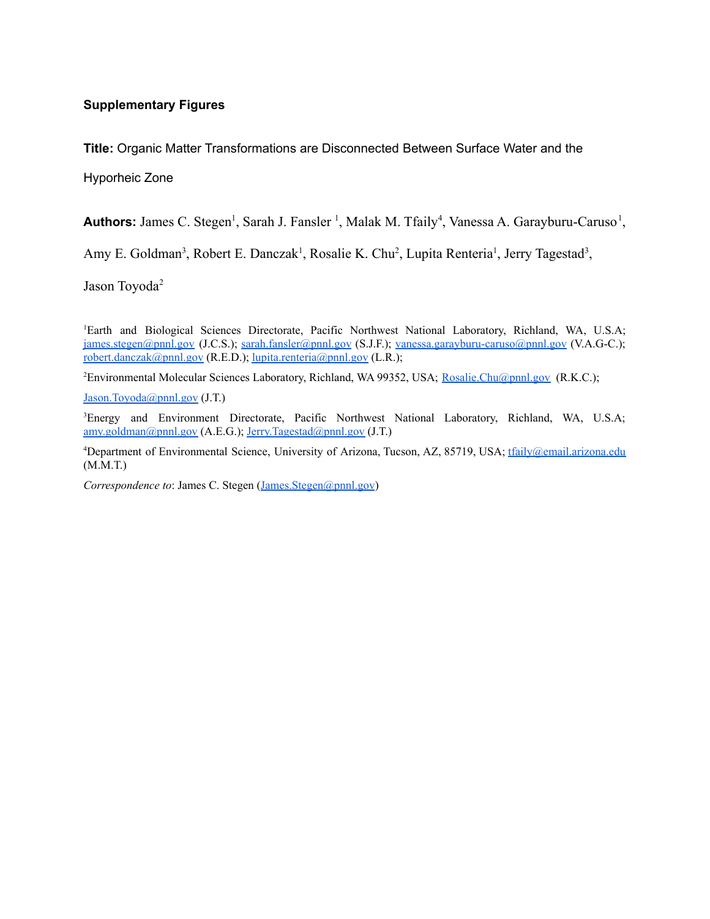#### **Supplementary Figures**

**Title:** Organic Matter Transformations are Disconnected Between Surface Water and the

Hyporheic Zone

Authors: James C. Stegen<sup>1</sup>, Sarah J. Fansler<sup>1</sup>, Malak M. Tfaily<sup>4</sup>, Vanessa A. Garayburu-Caruso<sup>1</sup>,

Amy E. Goldman<sup>3</sup>, Robert E. Danczak<sup>1</sup>, Rosalie K. Chu<sup>2</sup>, Lupita Renteria<sup>1</sup>, Jerry Tagestad<sup>3</sup>,

Jason Toyoda<sup>2</sup>

<sup>1</sup>Earth and Biological Sciences Directorate, Pacific Northwest National Laboratory, Richland, WA, U.S.A; [james.stegen@pnnl.gov](mailto:james.stegen@pnnl.gov) (J.C.S.); [sarah.fansler@pnnl.gov](mailto:sarah.fansler@pnnl.gov) (S.J.F.); [vanessa.garayburu-caruso@pnnl.gov](mailto:vanessa.garayburu-caruso@pnnl.gov) (V.A.G-C.); [robert.danczak@pnnl.gov](mailto:robert.danczak@pnnl.gov) (R.E.D.); [lupita.renteria@pnnl.gov](mailto:lupita.renteria@pnnl.gov) (L.R.);

<sup>2</sup>Environmental Molecular Sciences Laboratory, Richland, WA 99352, USA; [Rosalie.Chu@pnnl.gov](mailto:Rosalie.Chu@pnnl.gov) (R.K.C.);

[Jason.Toyoda@pnnl.gov](mailto:Jason.Toyoda@pnnl.gov) (J.T.)

<sup>3</sup>Energy and Environment Directorate, Pacific Northwest National Laboratory, Richland, WA, U.S.A; [amy.goldman@pnnl.gov](mailto:amy.goldman@pnnl.gov) (A.E.G.); [Jerry.Tagestad@pnnl.gov](mailto:Jerry.Tagestad@pnnl.gov) (J.T.)

<sup>4</sup>Department of Environmental Science, University of Arizona, Tucson, AZ, 85719, USA; [tfaily@email.arizona.edu](mailto:tfaily@email.arizona.edu) (M.M.T.)

*Correspondence to*: James C. Stegen ([James.Stegen@pnnl.gov](mailto:James.Stegen@pnnl.gov))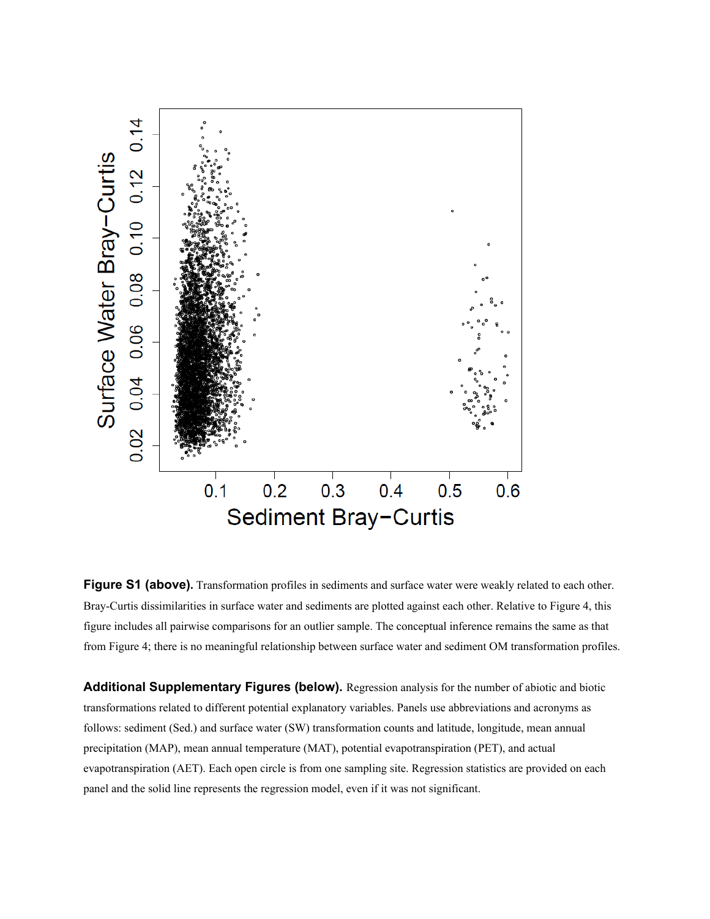

**Figure S1 (above).** Transformation profiles in sediments and surface water were weakly related to each other. Bray-Curtis dissimilarities in surface water and sediments are plotted against each other. Relative to Figure 4, this figure includes all pairwise comparisons for an outlier sample. The conceptual inference remains the same as that from Figure 4; there is no meaningful relationship between surface water and sediment OM transformation profiles.

**Additional Supplementary Figures (below).** Regression analysis for the number of abiotic and biotic transformations related to different potential explanatory variables. Panels use abbreviations and acronyms as follows: sediment (Sed.) and surface water (SW) transformation counts and latitude, longitude, mean annual precipitation (MAP), mean annual temperature (MAT), potential evapotranspiration (PET), and actual evapotranspiration (AET). Each open circle is from one sampling site. Regression statistics are provided on each panel and the solid line represents the regression model, even if it was not significant.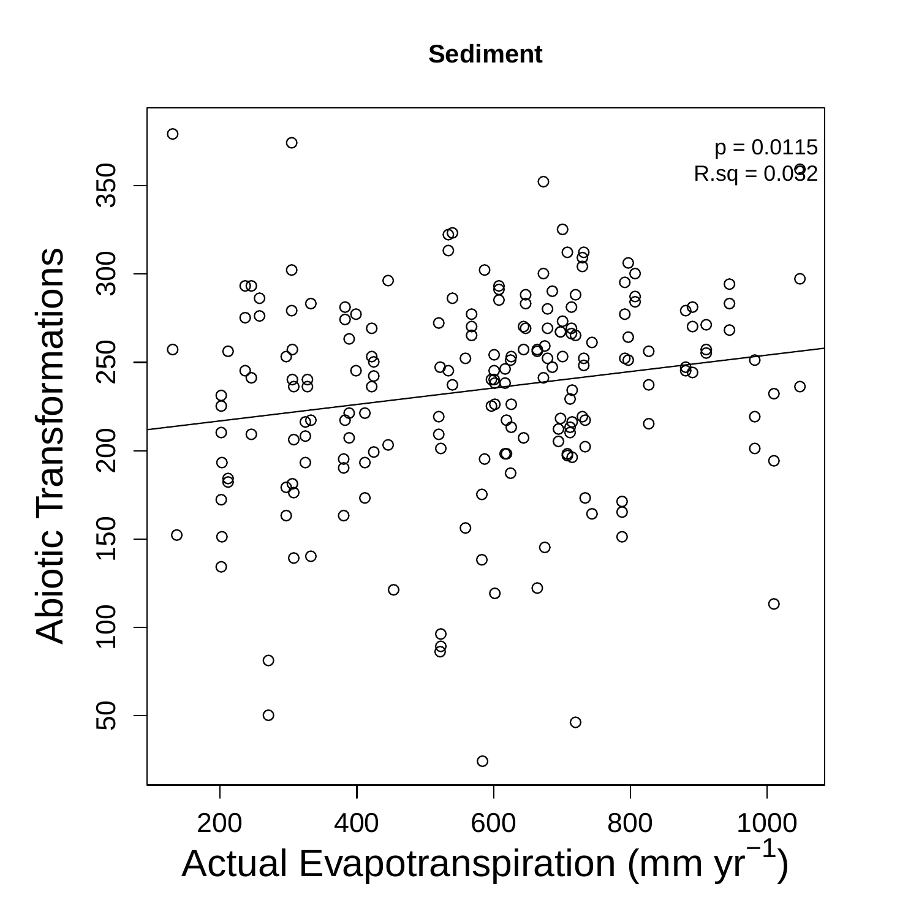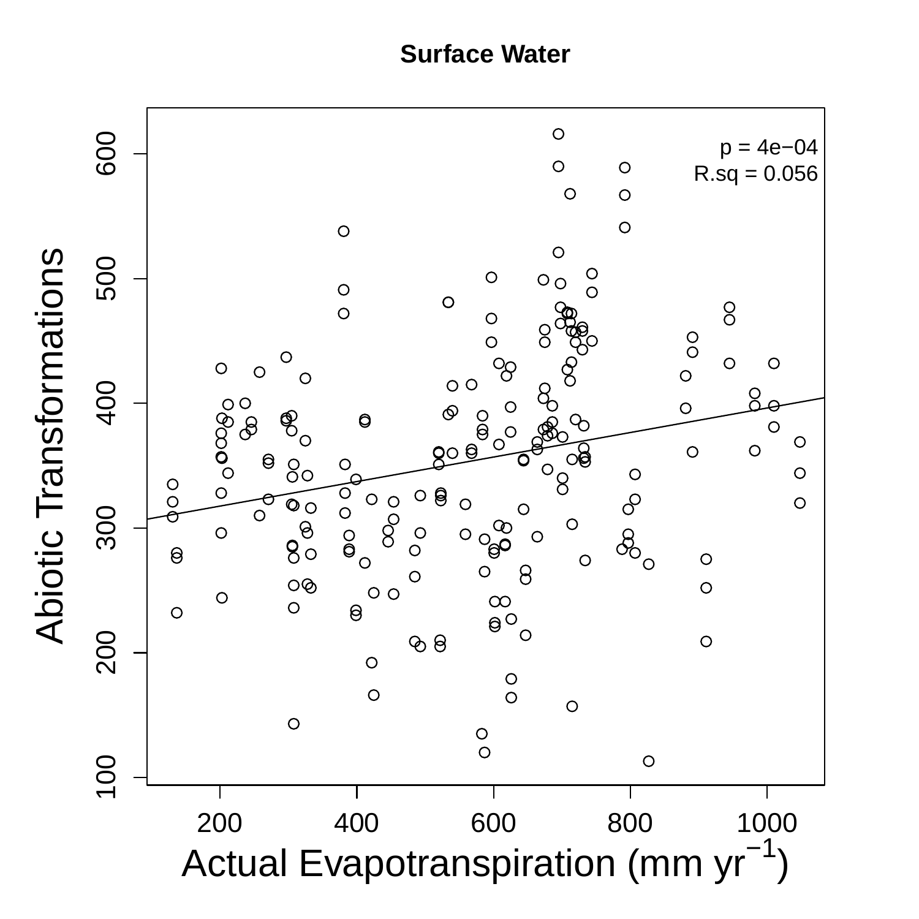**Surface Water**

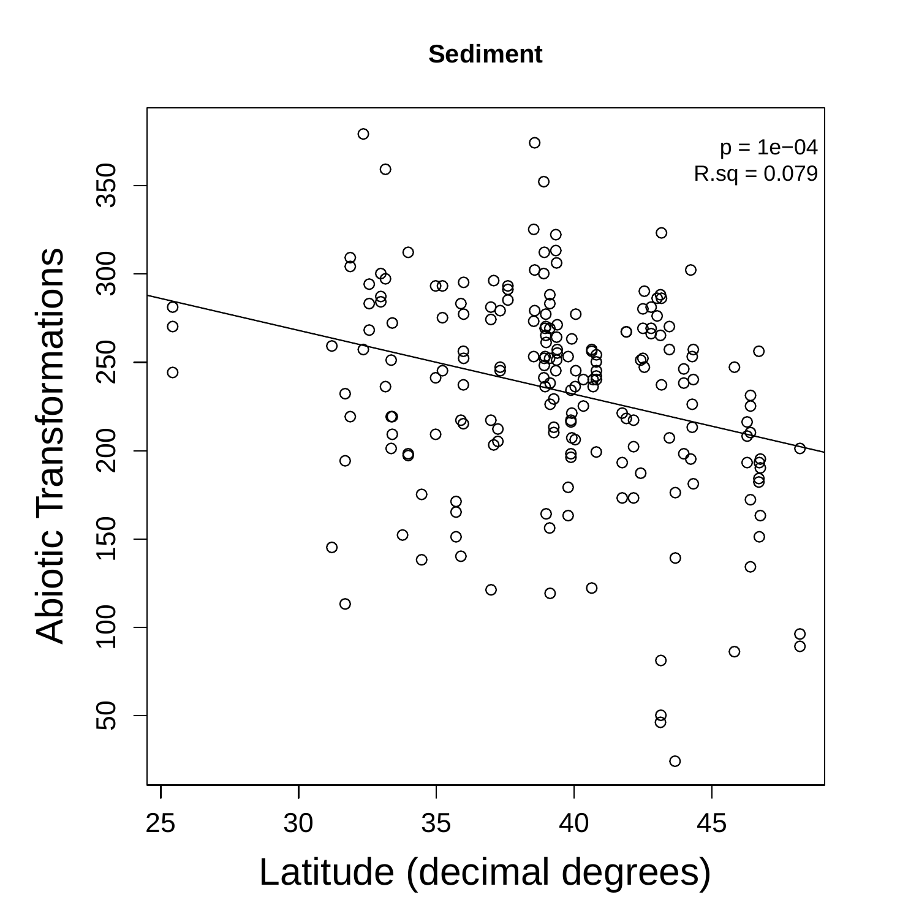

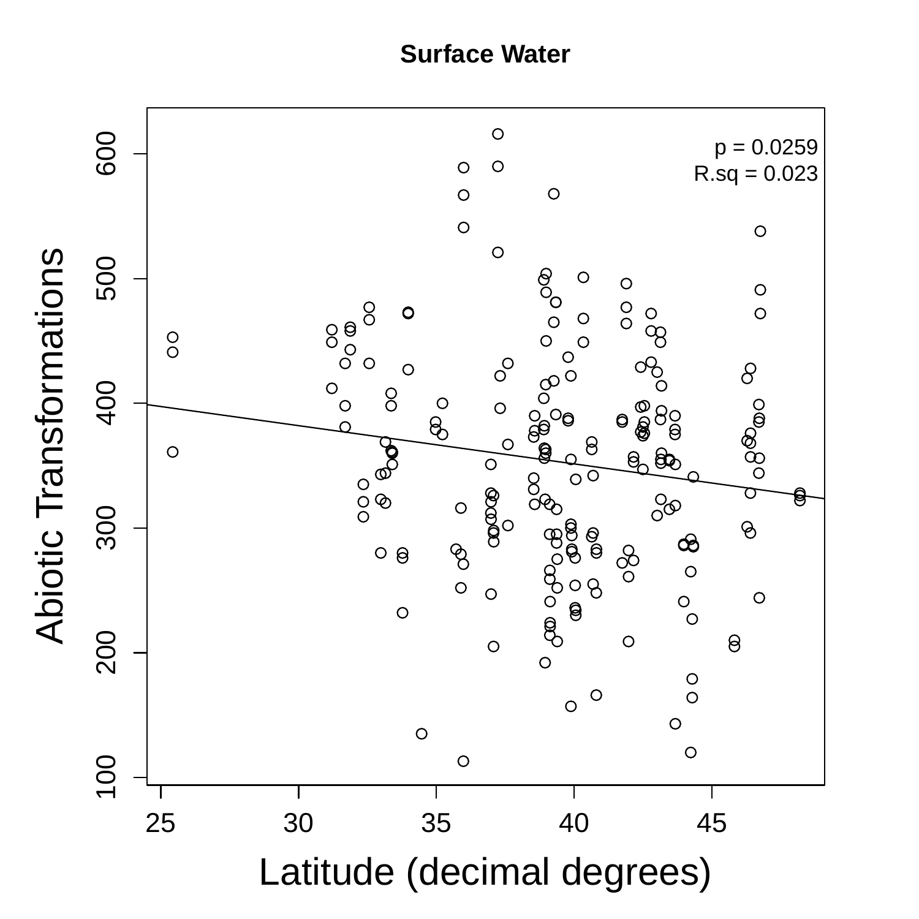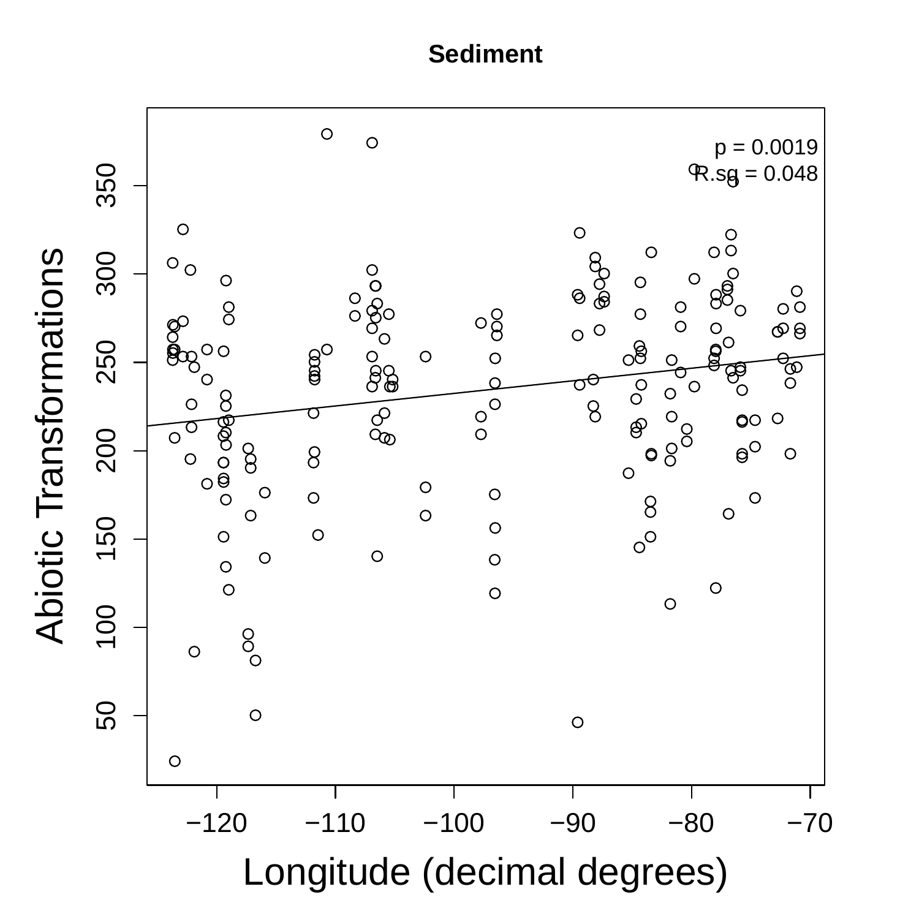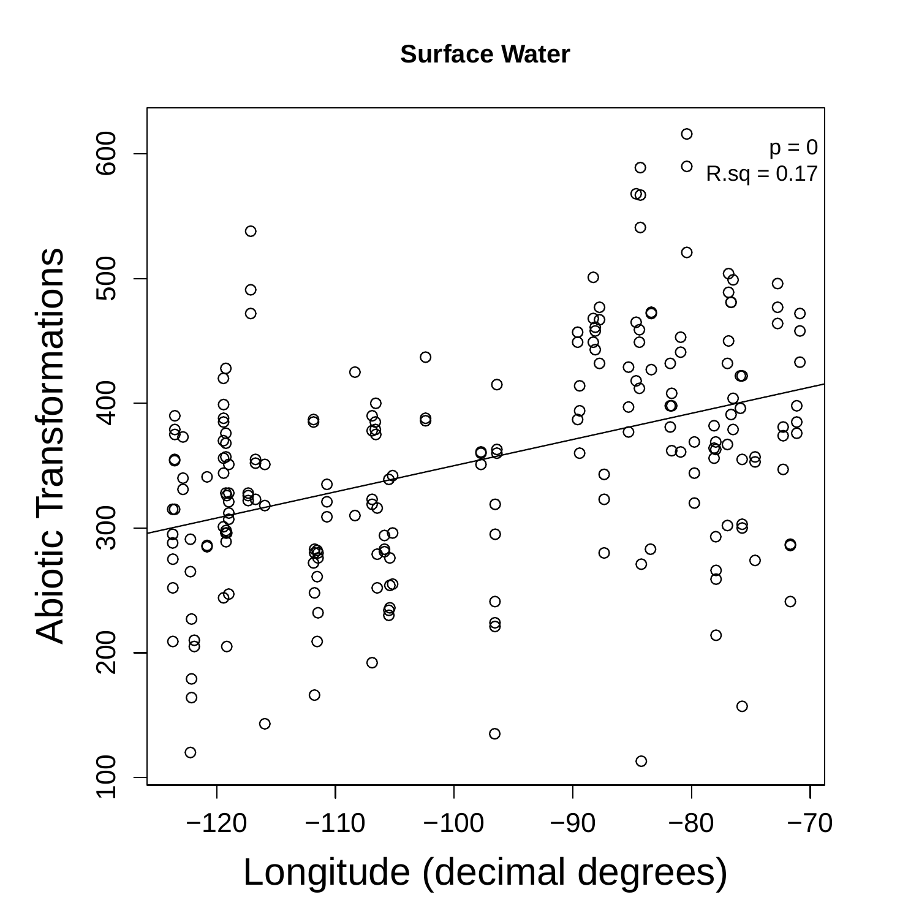**Surface Water**

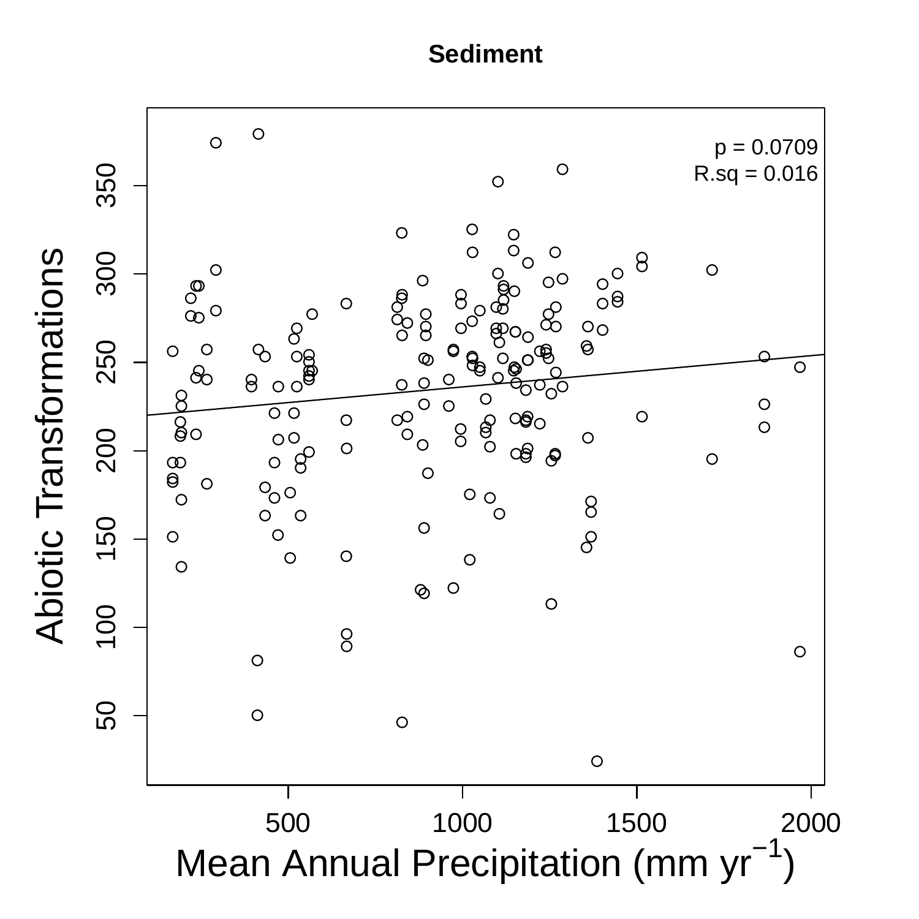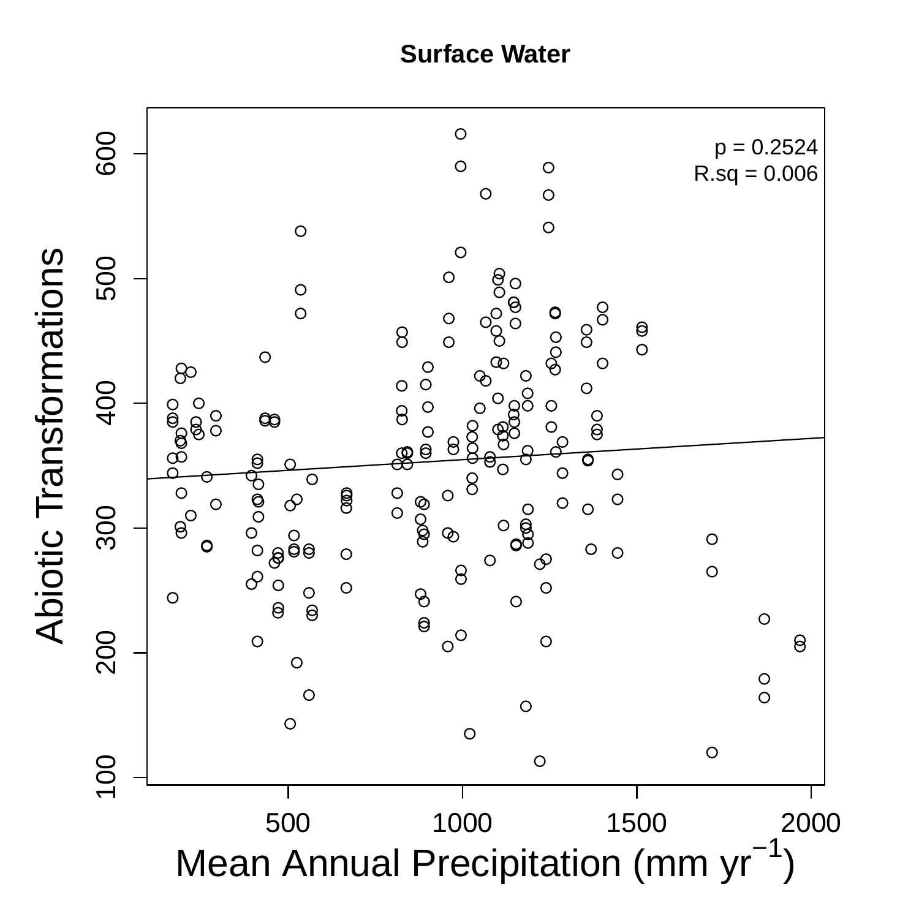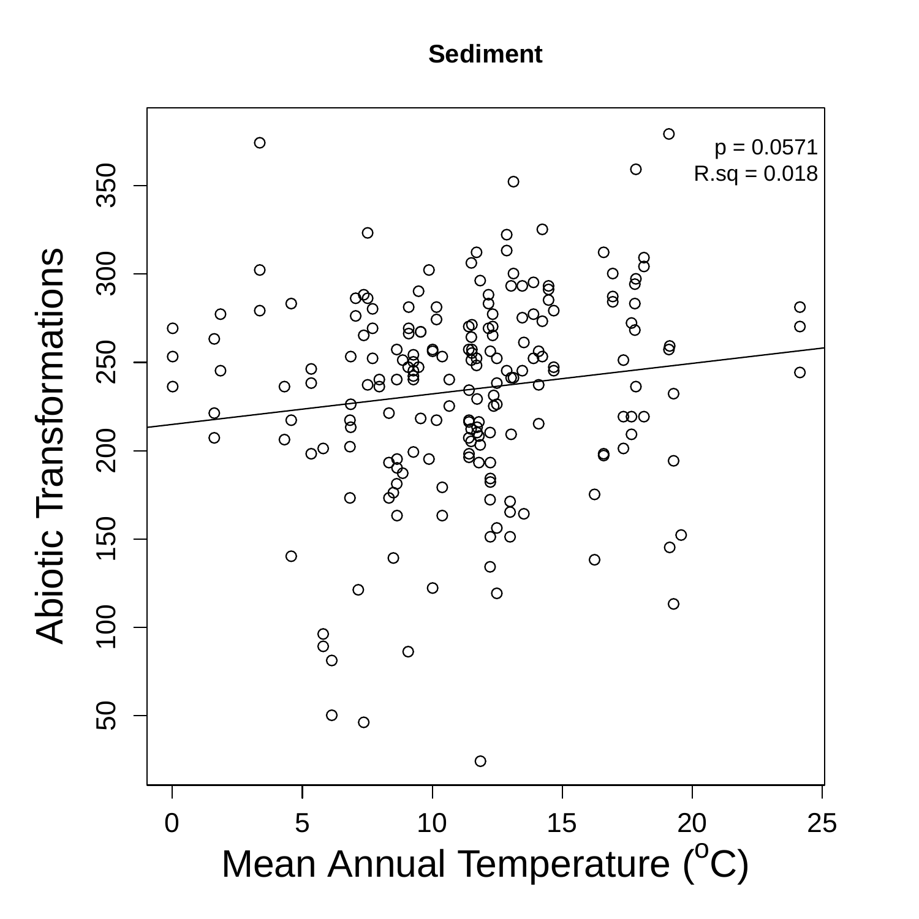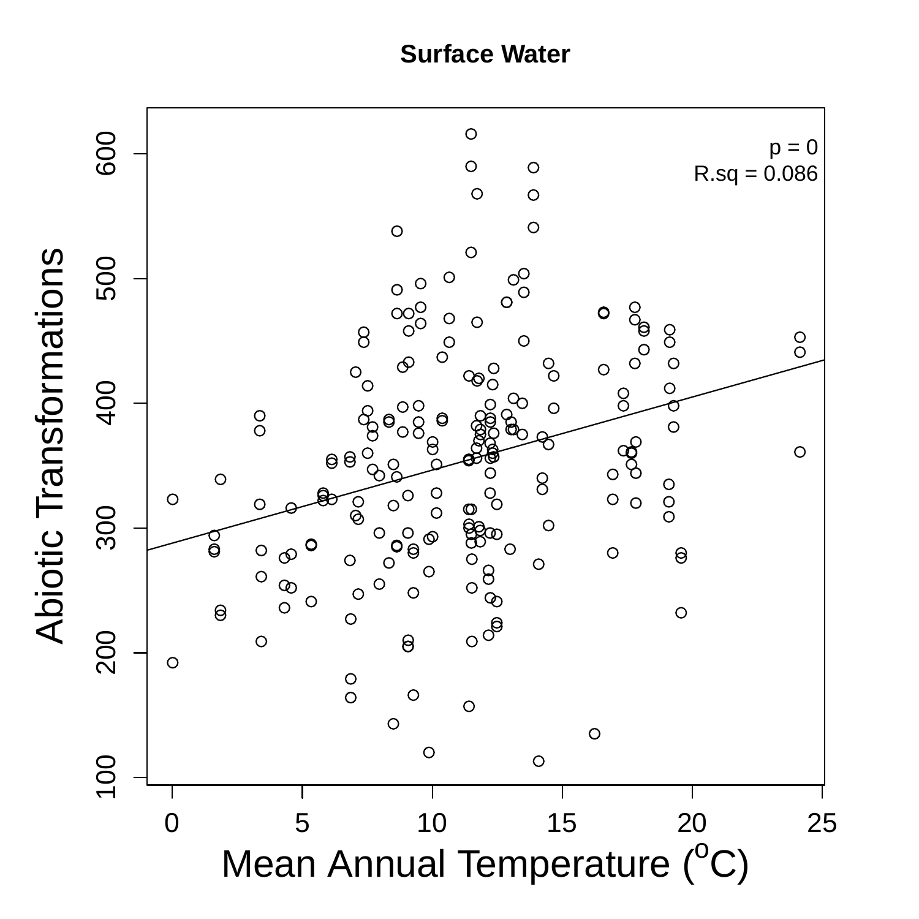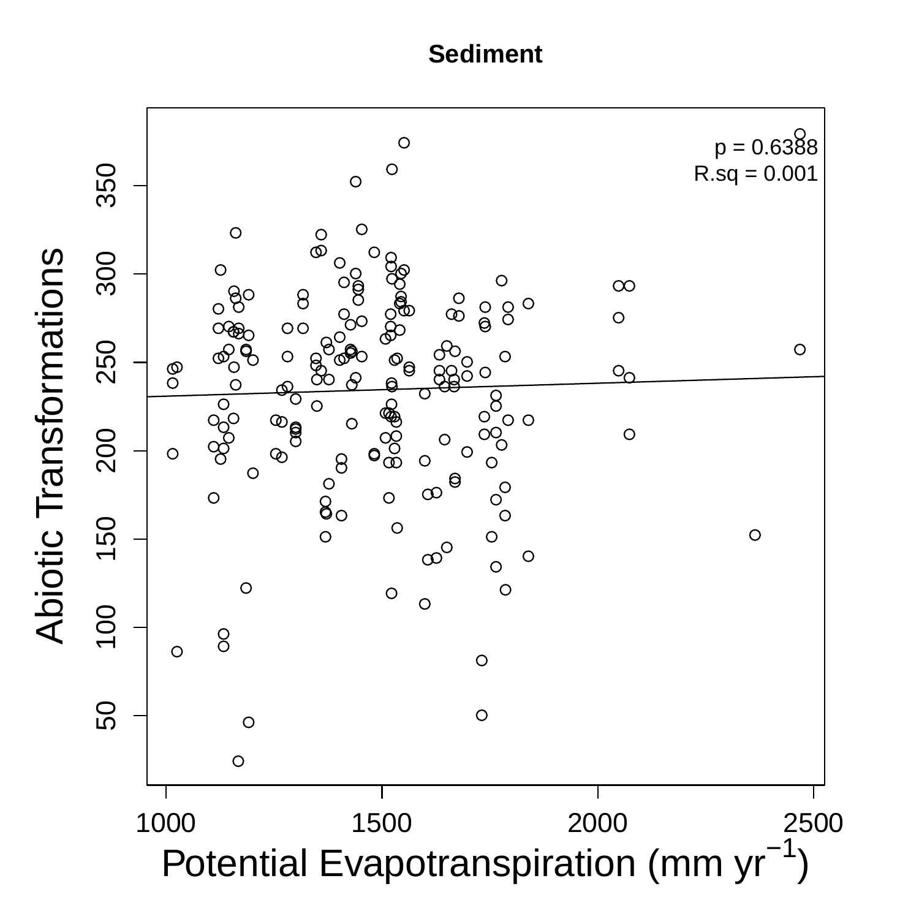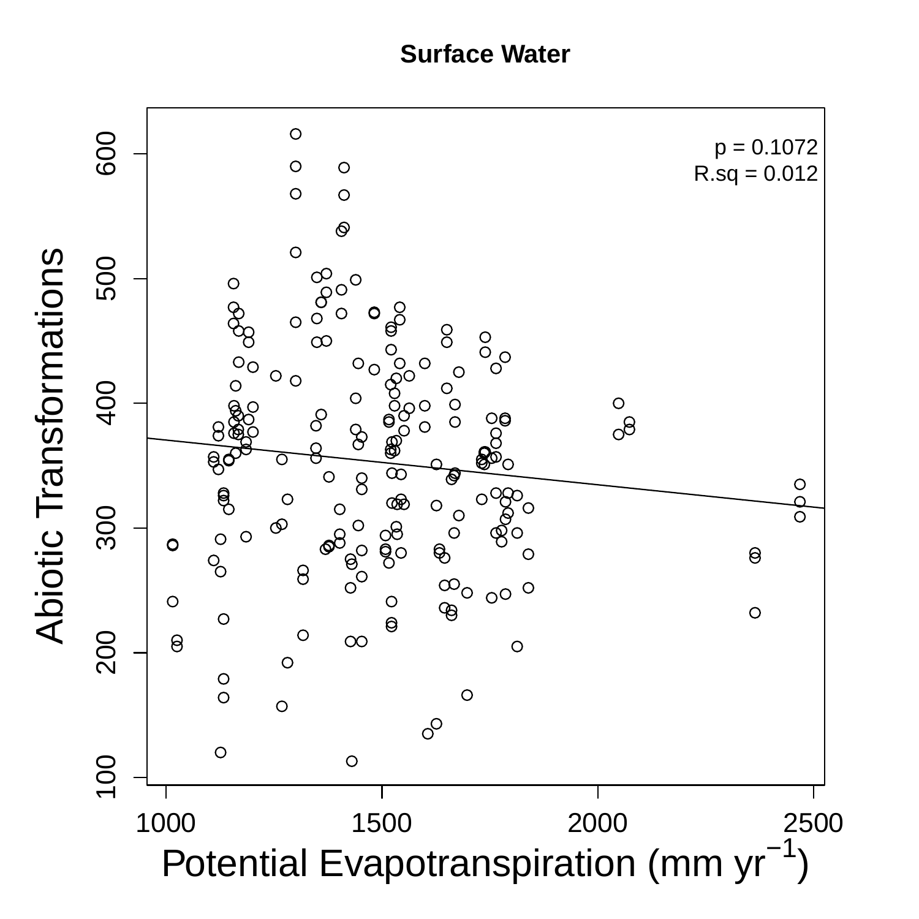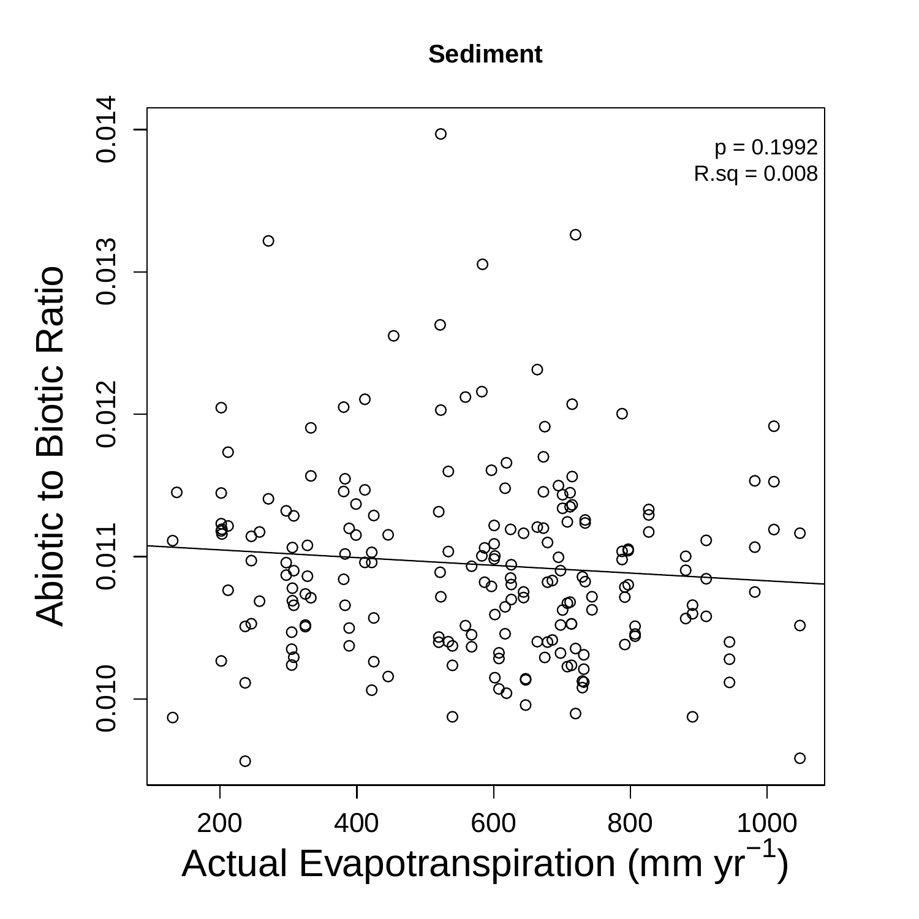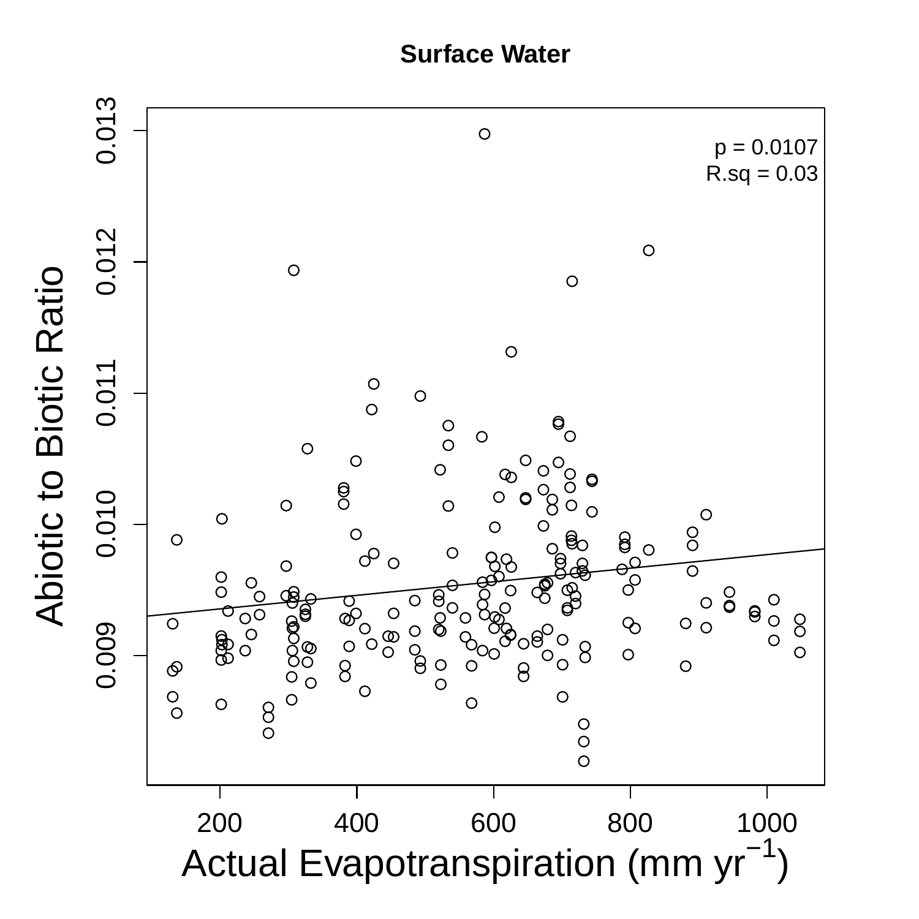**Surface Water**

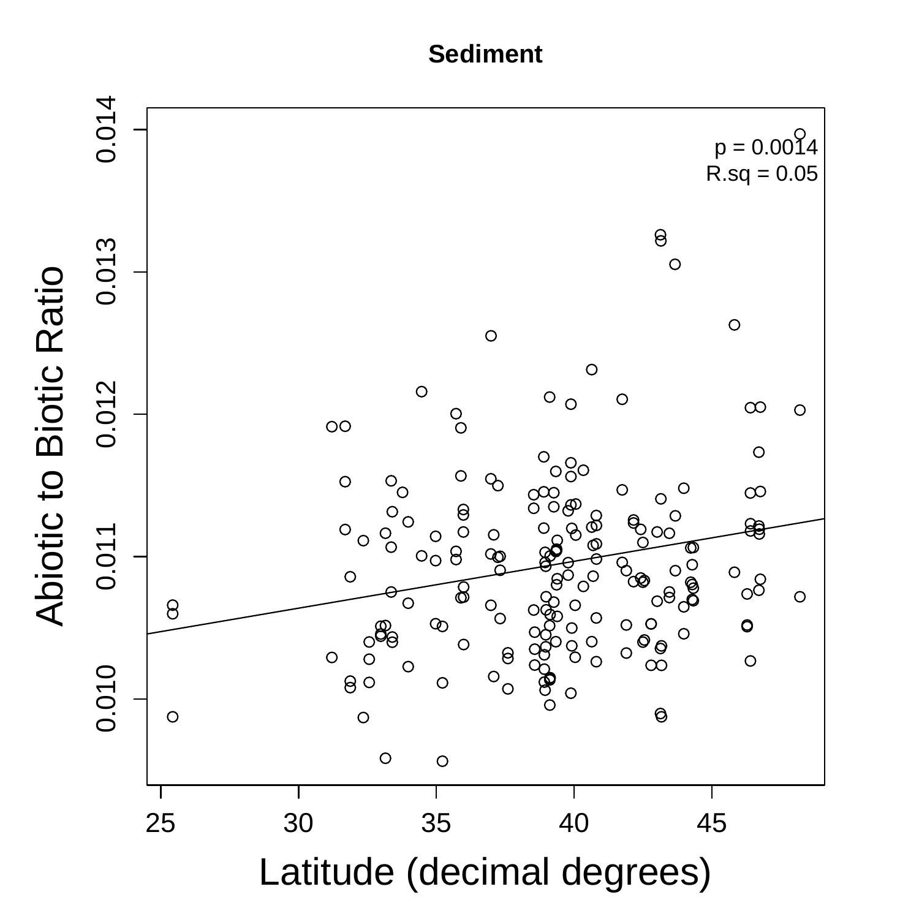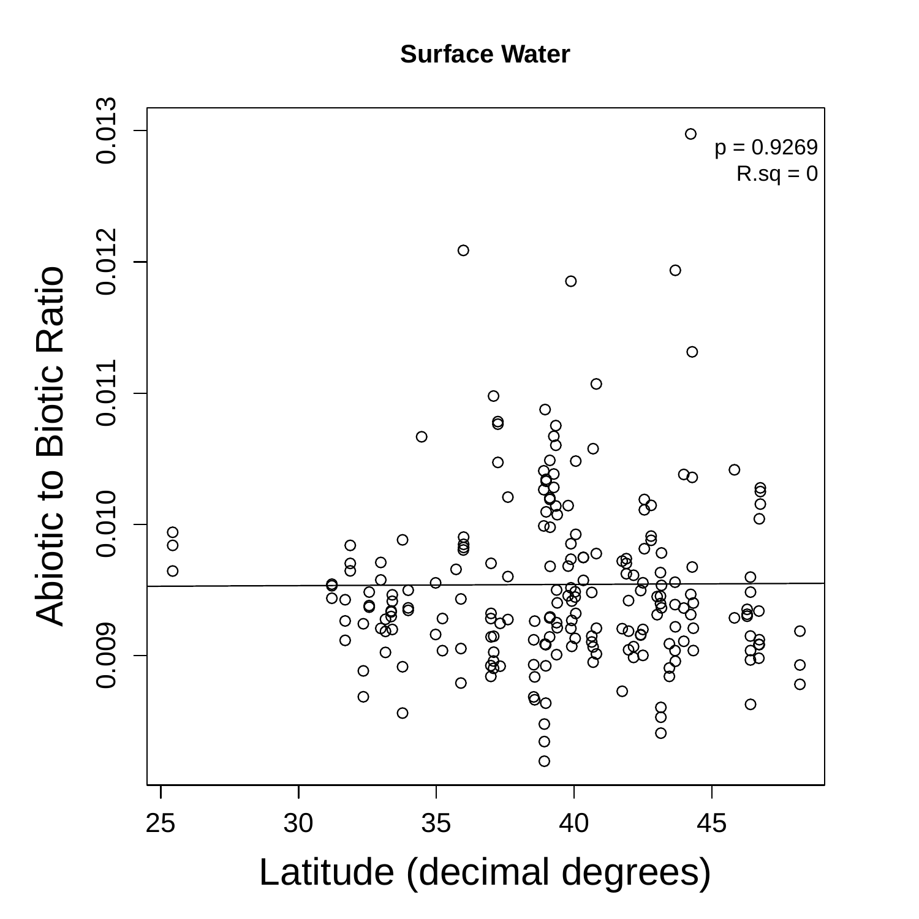**Surface Water** 

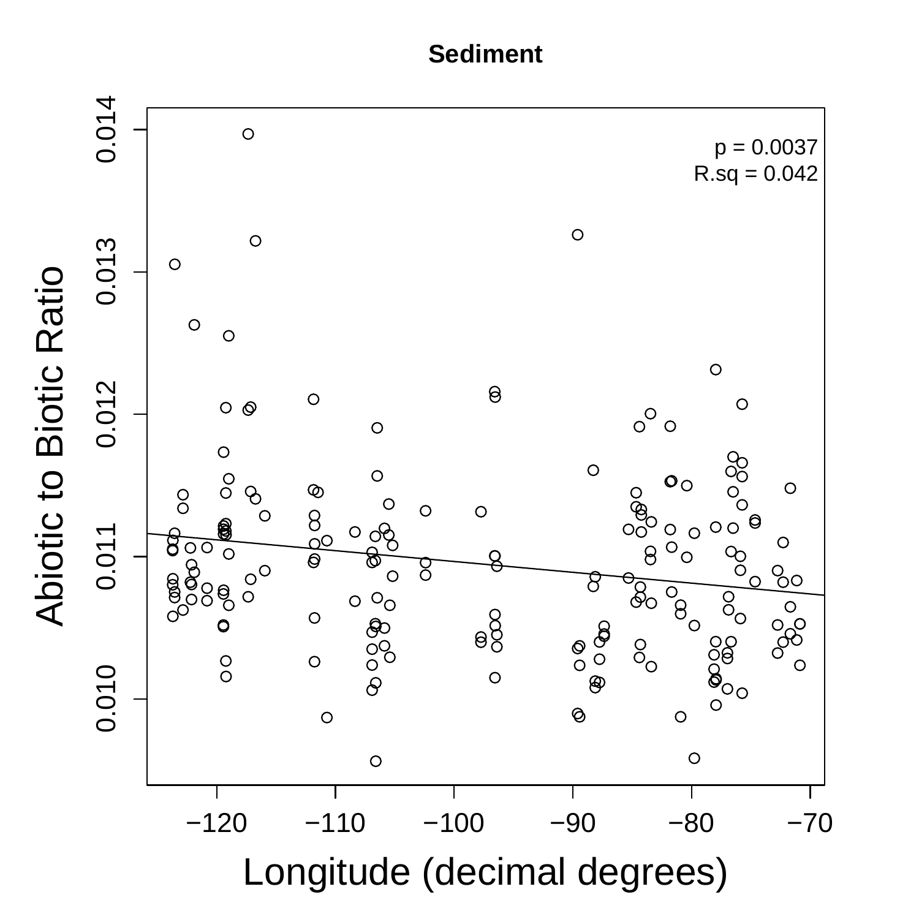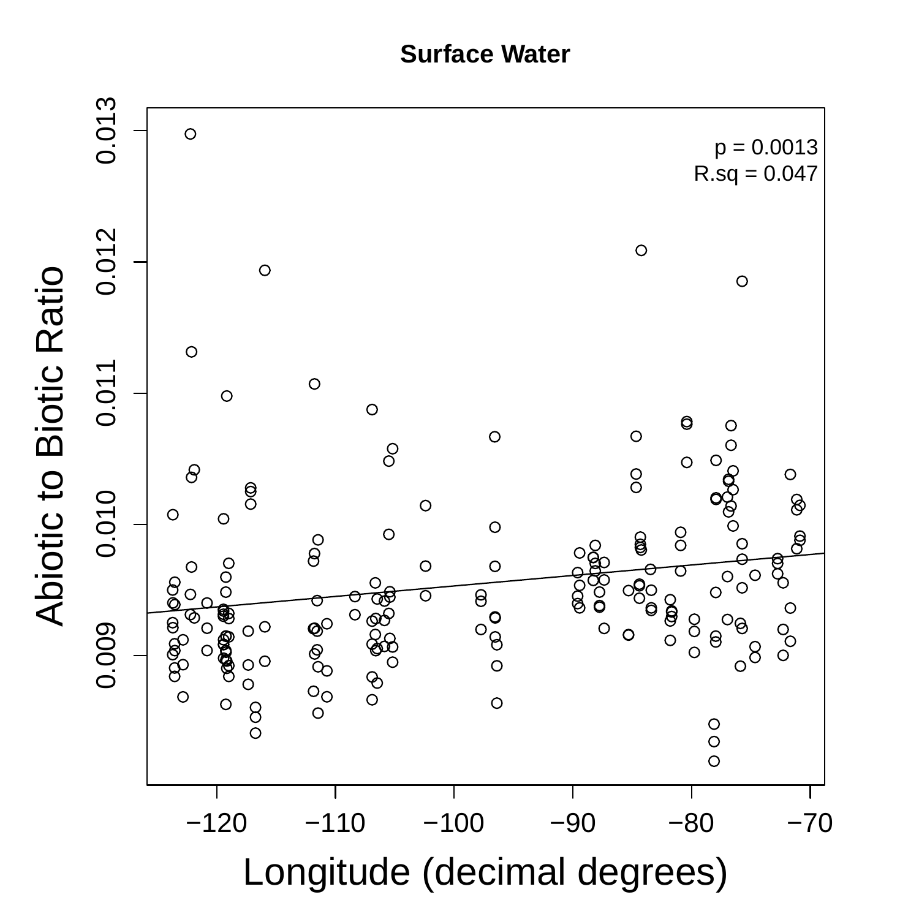**Surface Water**

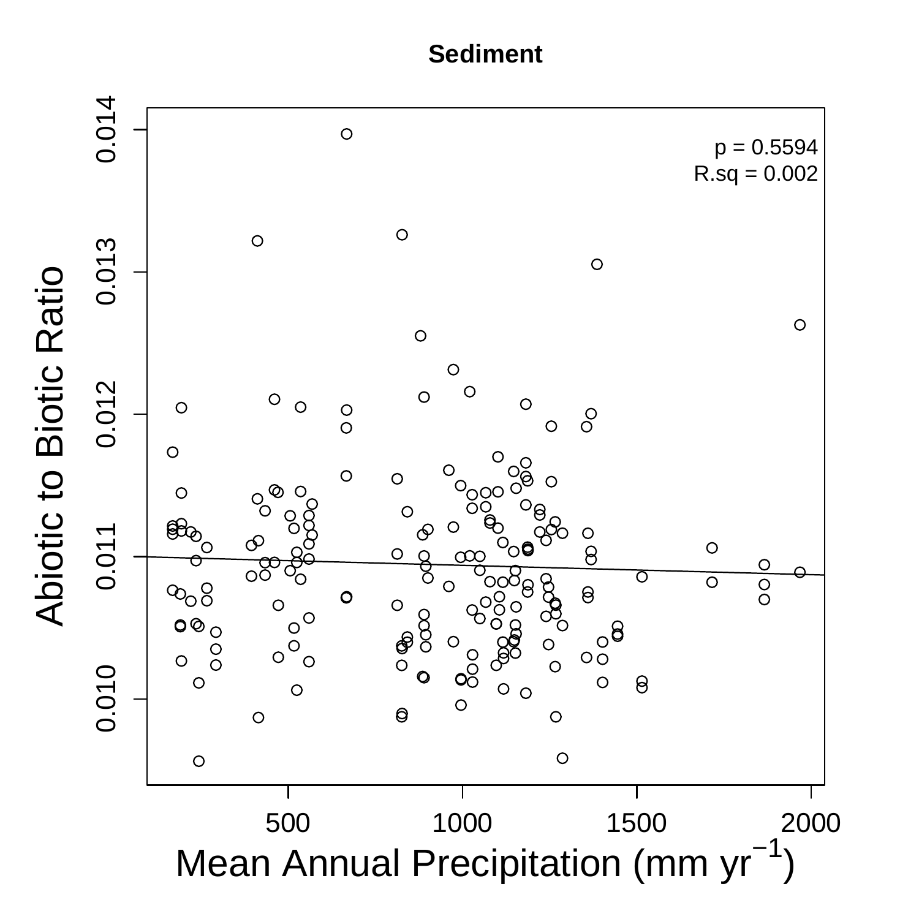

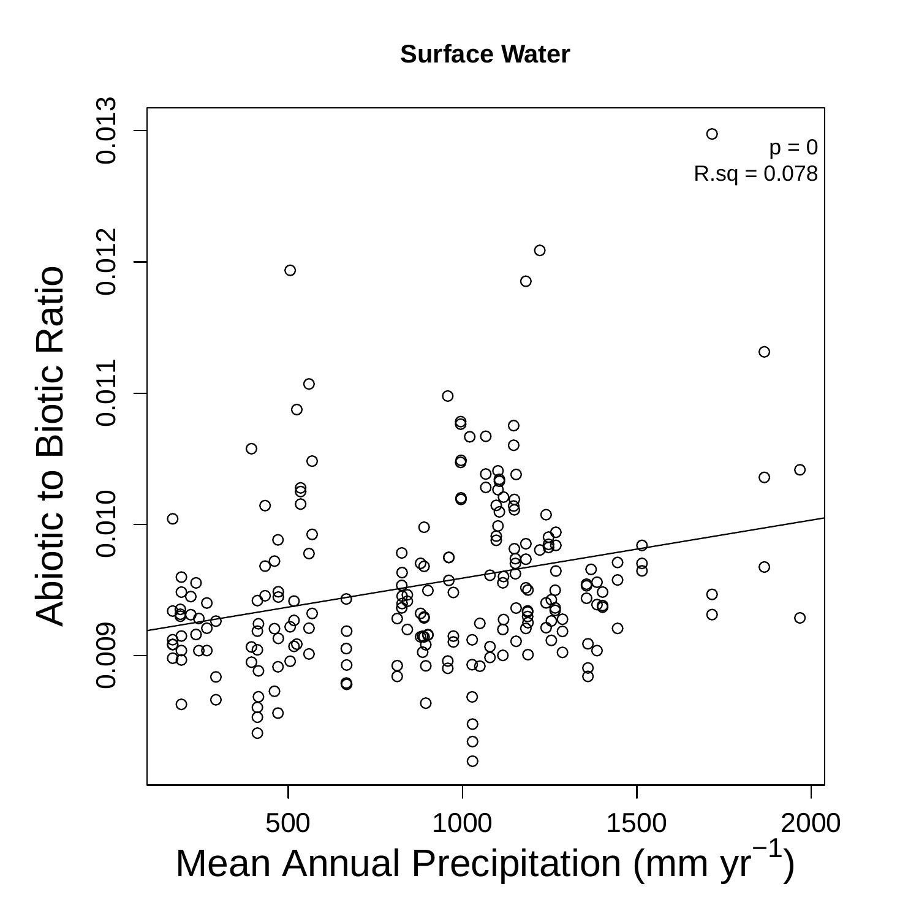**Surface Water**

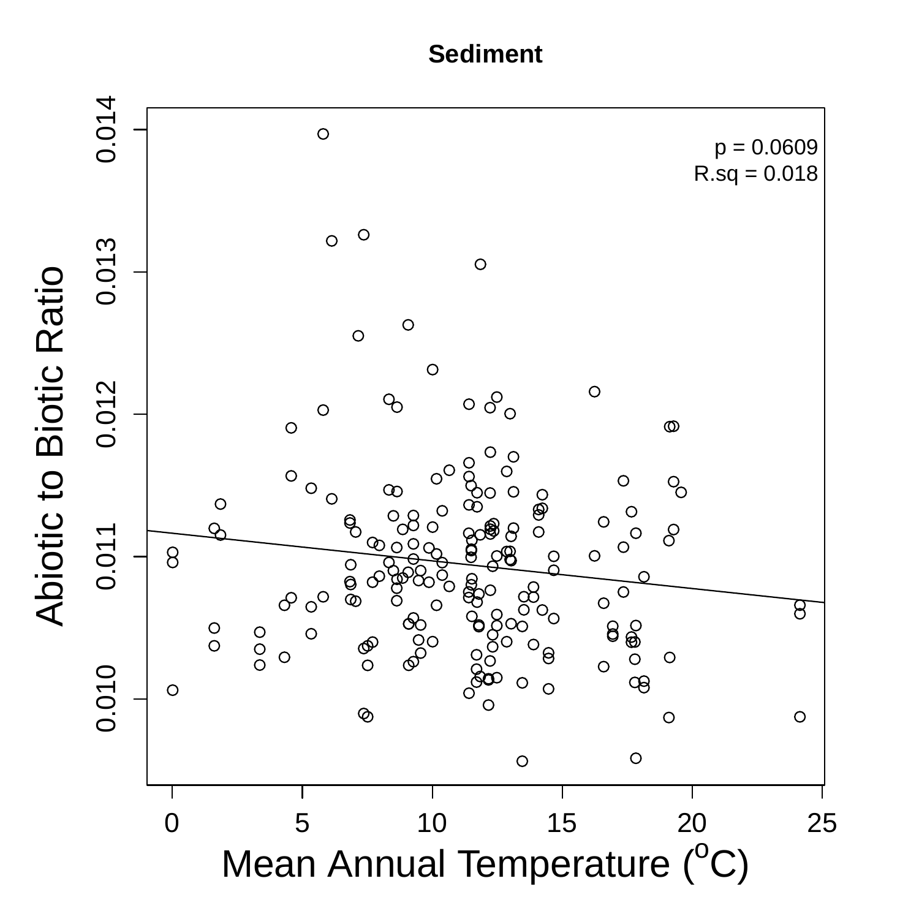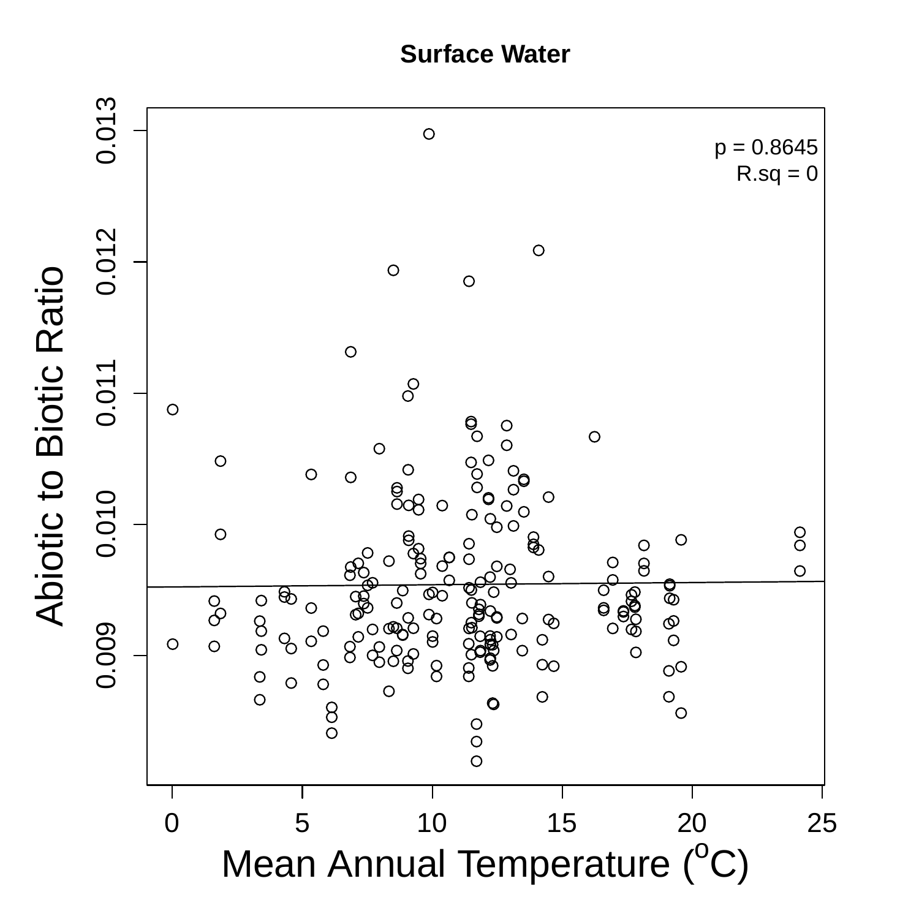**Surface Water** 

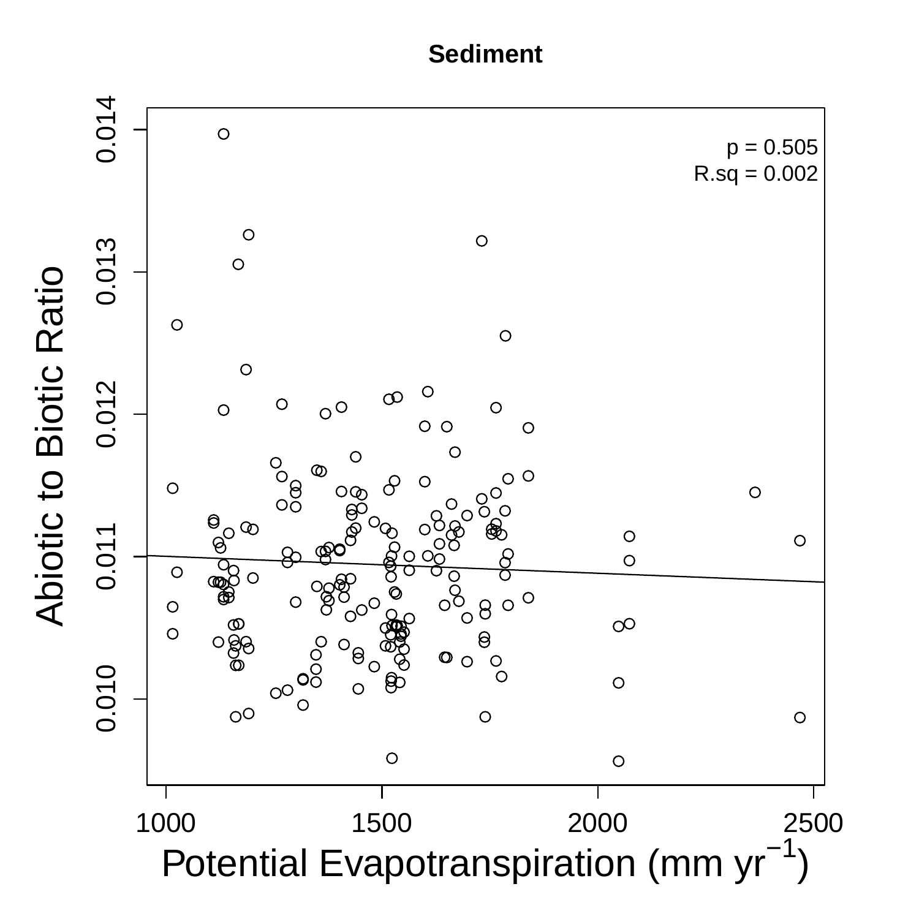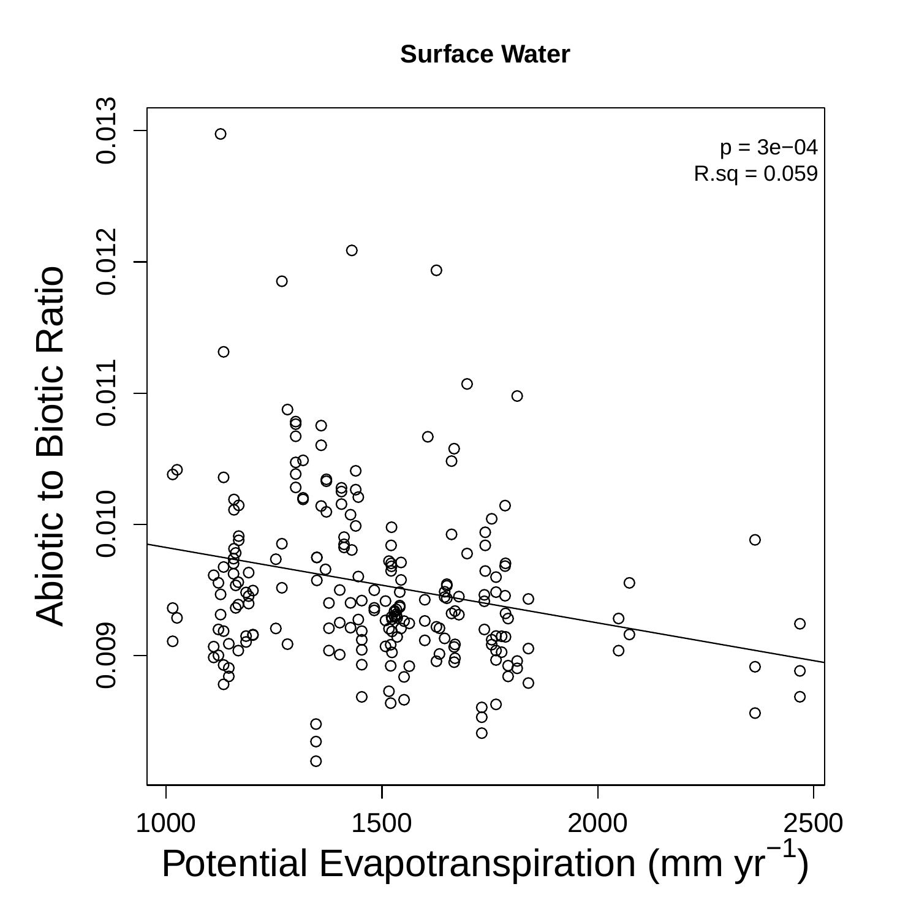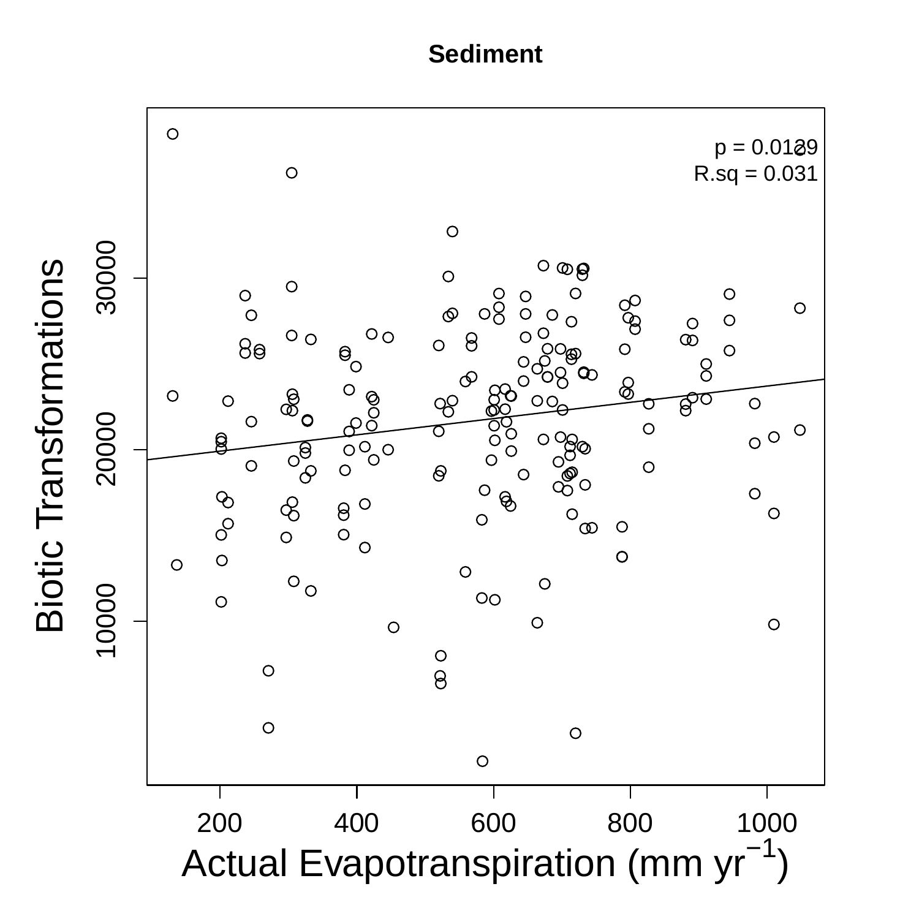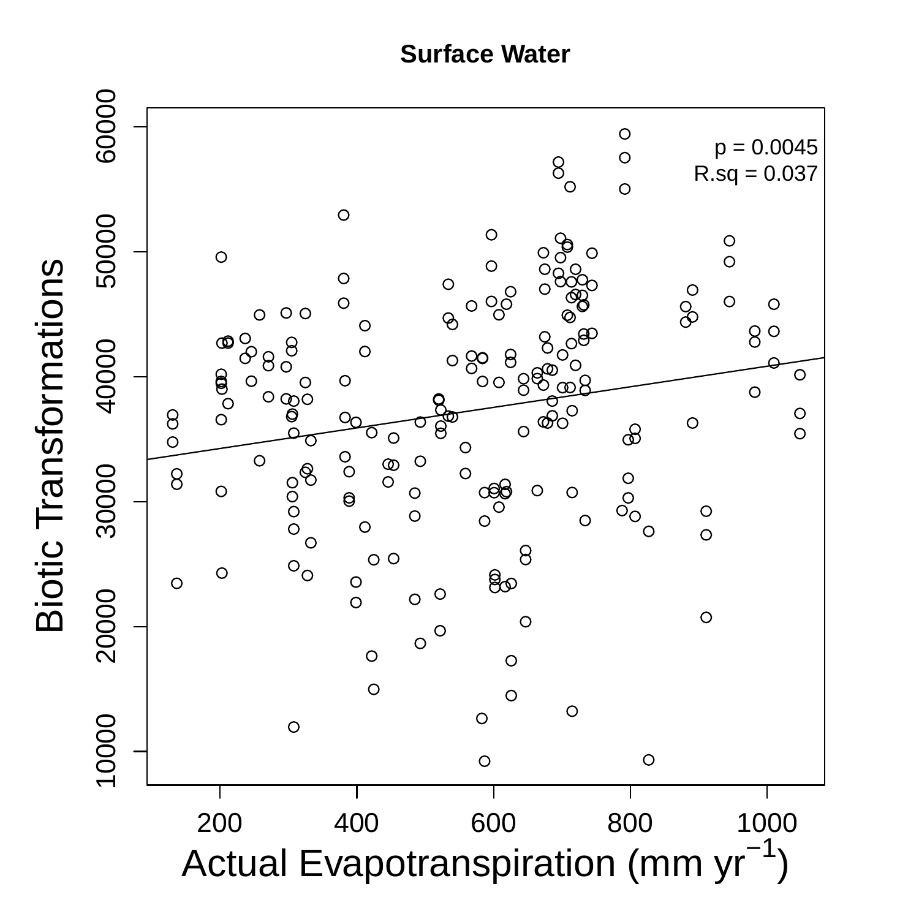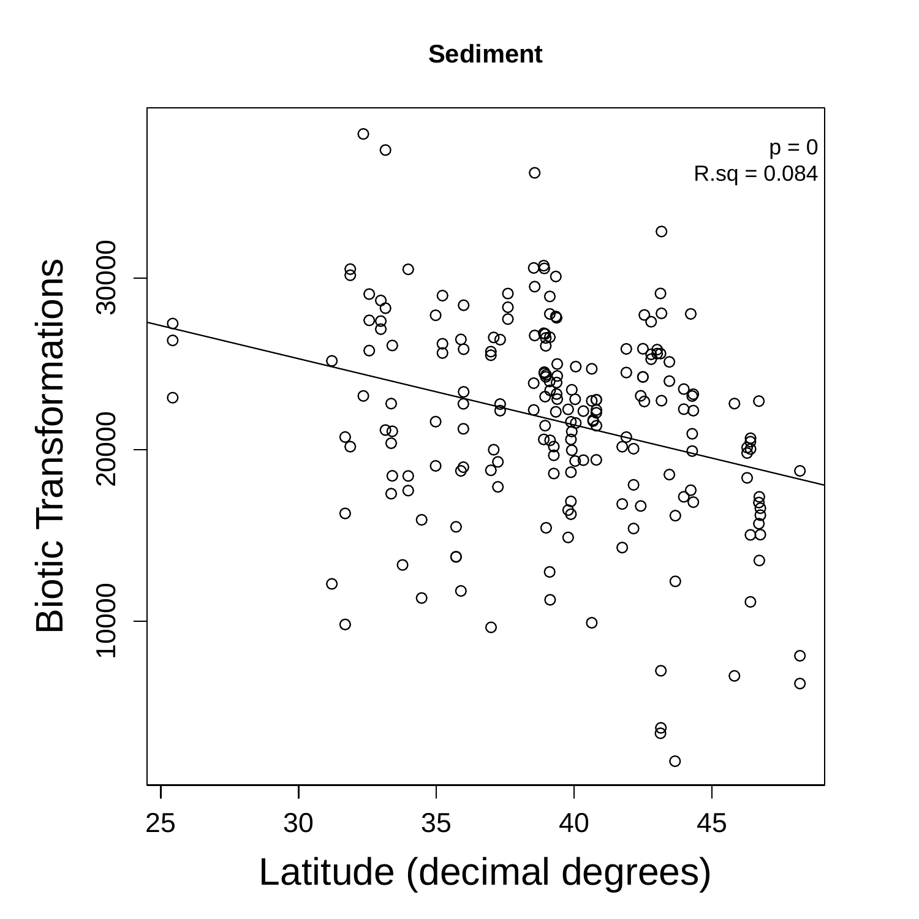

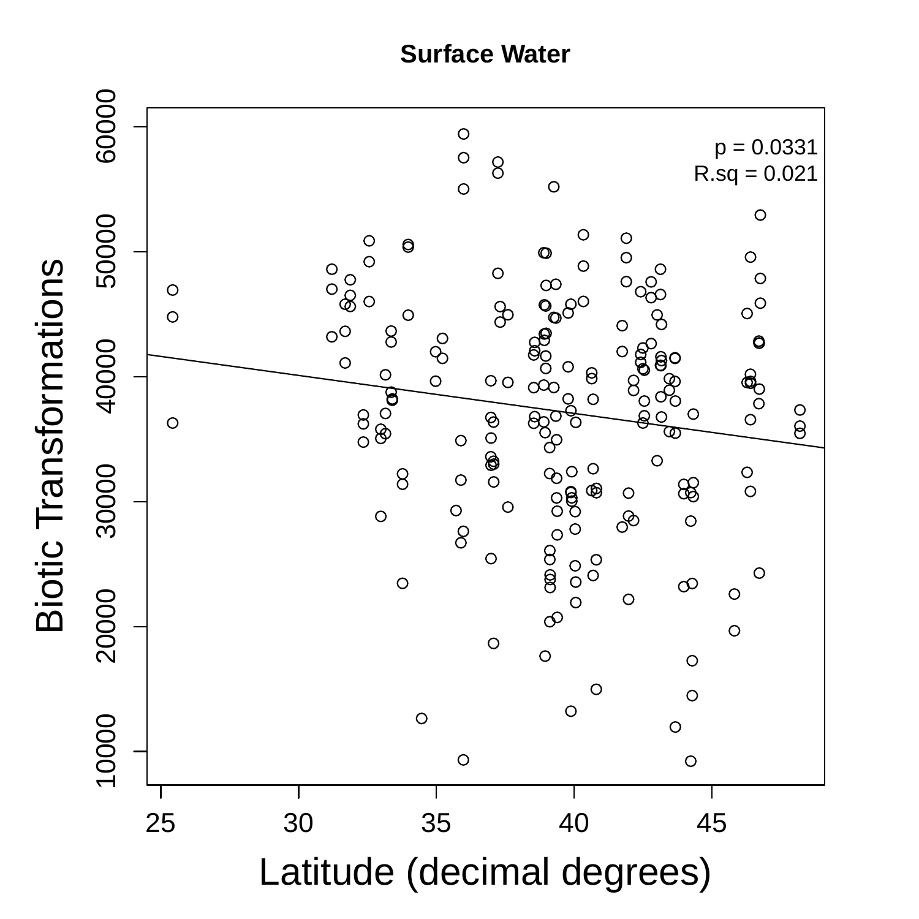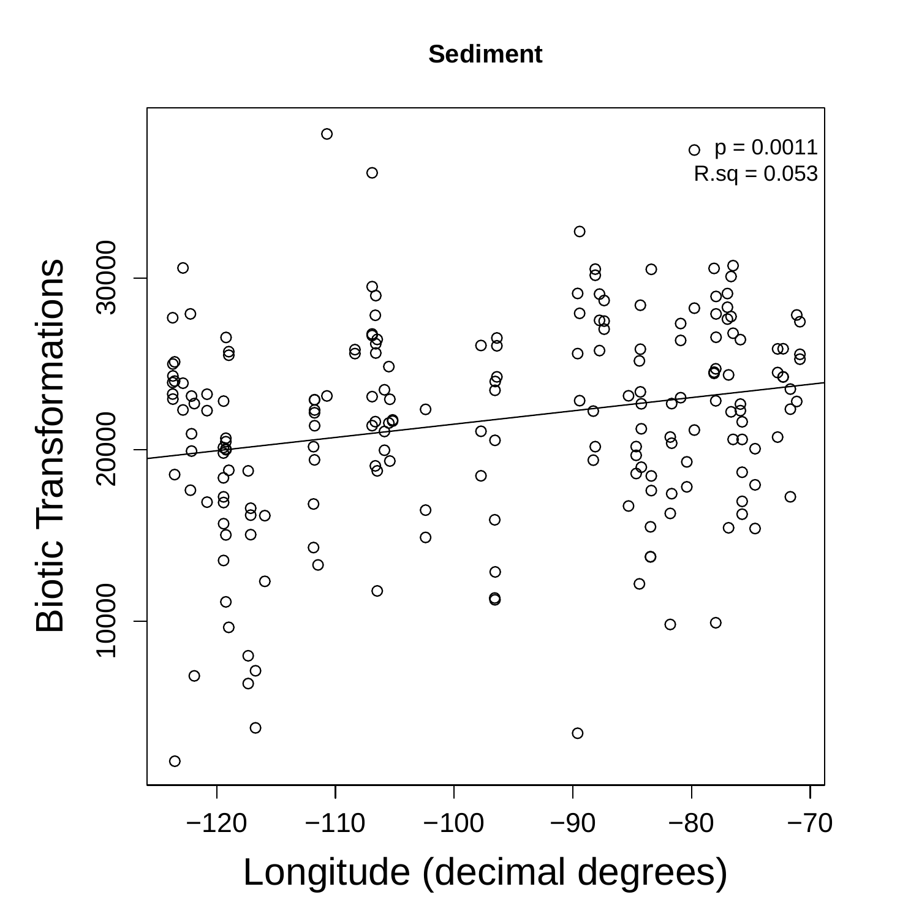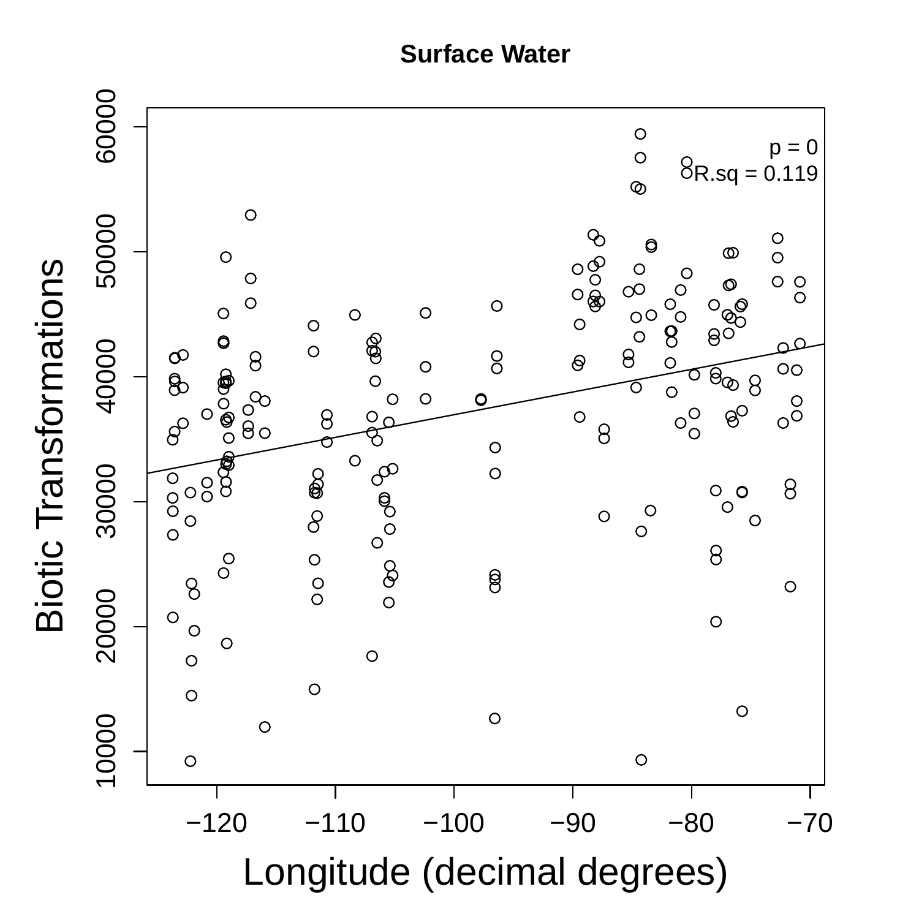

**Biotic Transformations** Biotic Transformations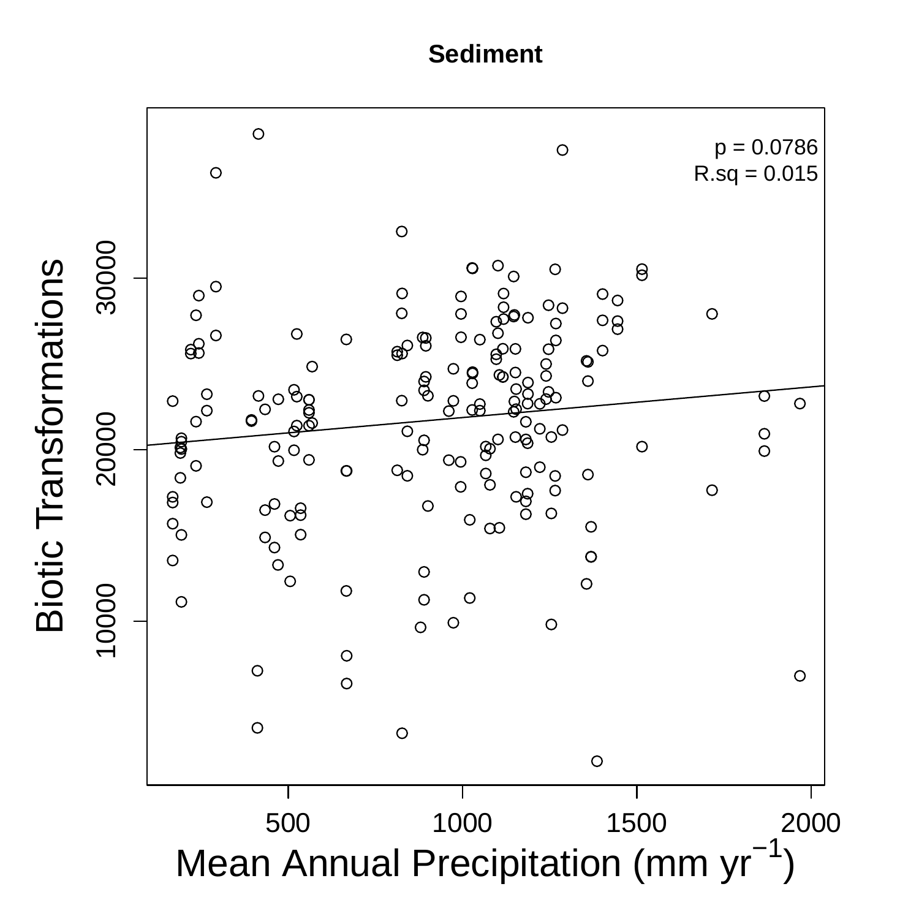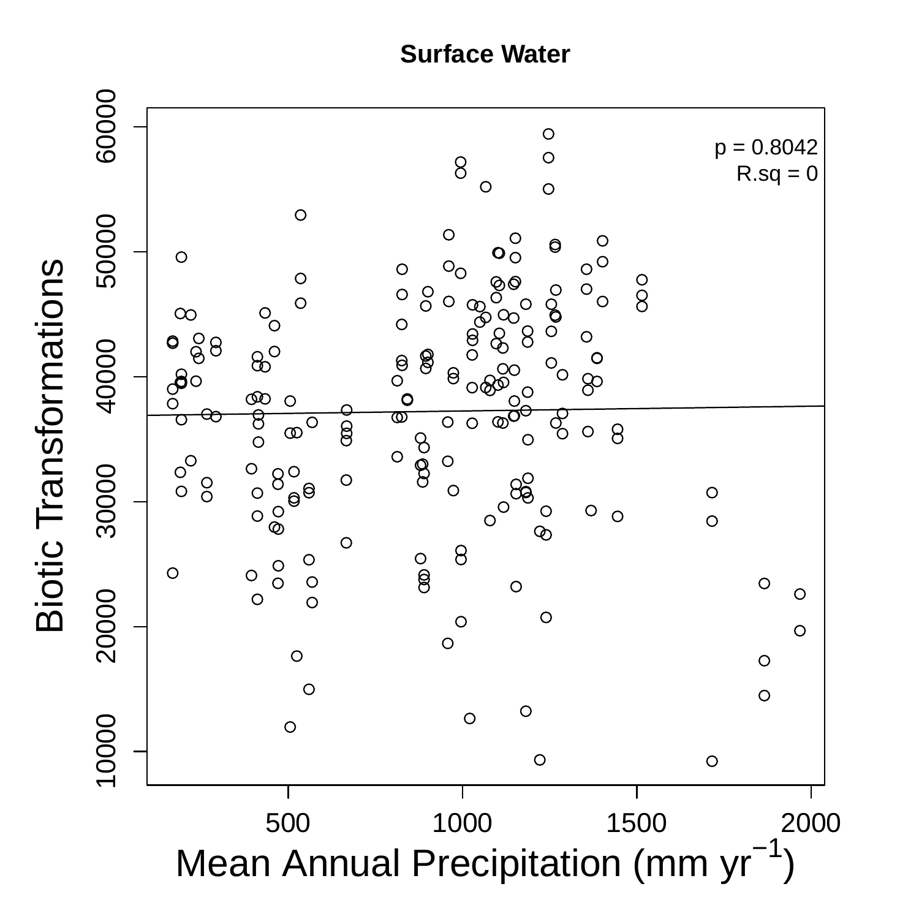

**Biotic Transformations** Biotic Transformations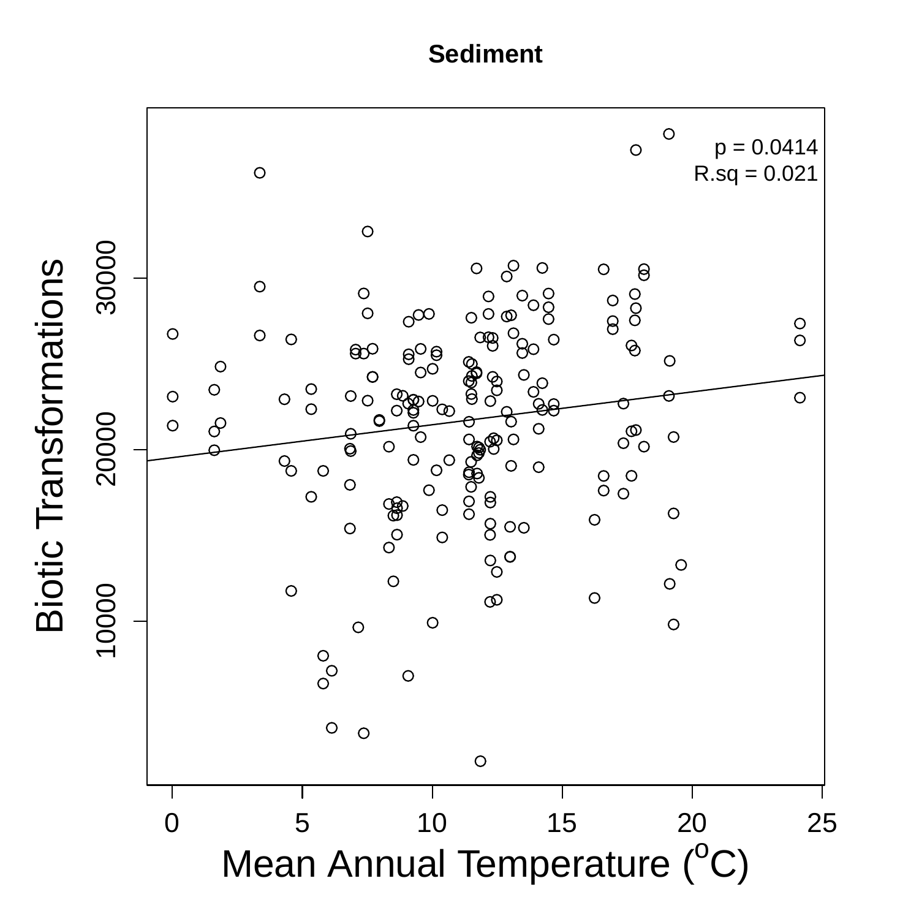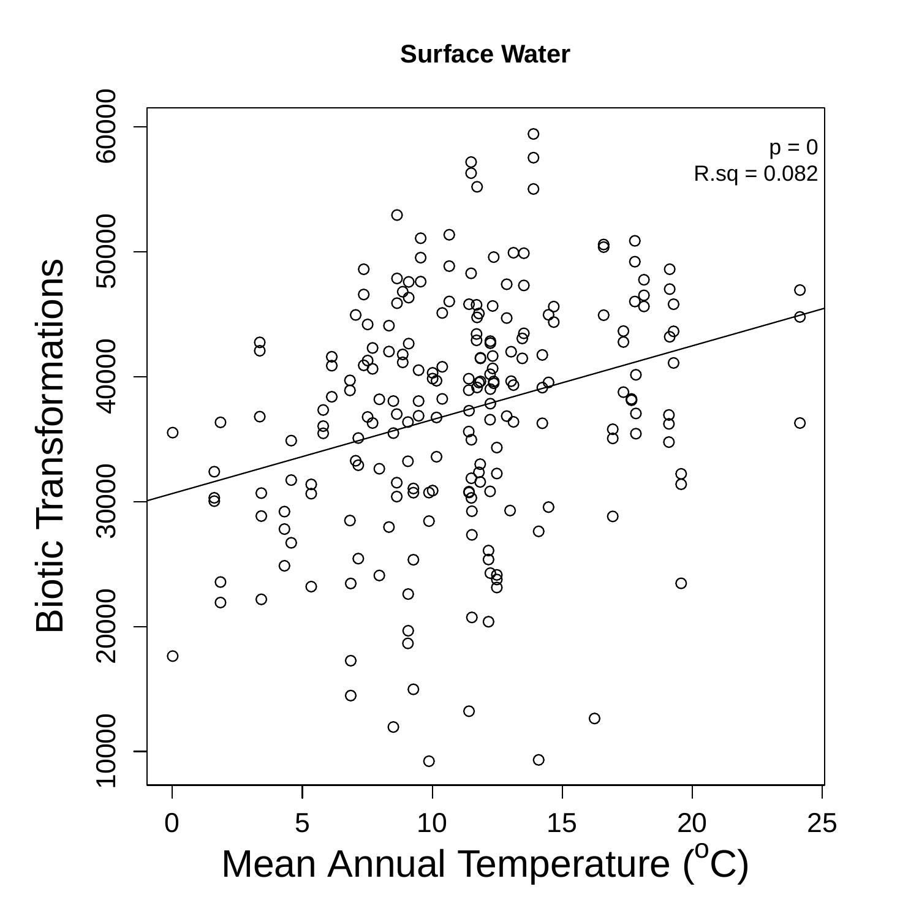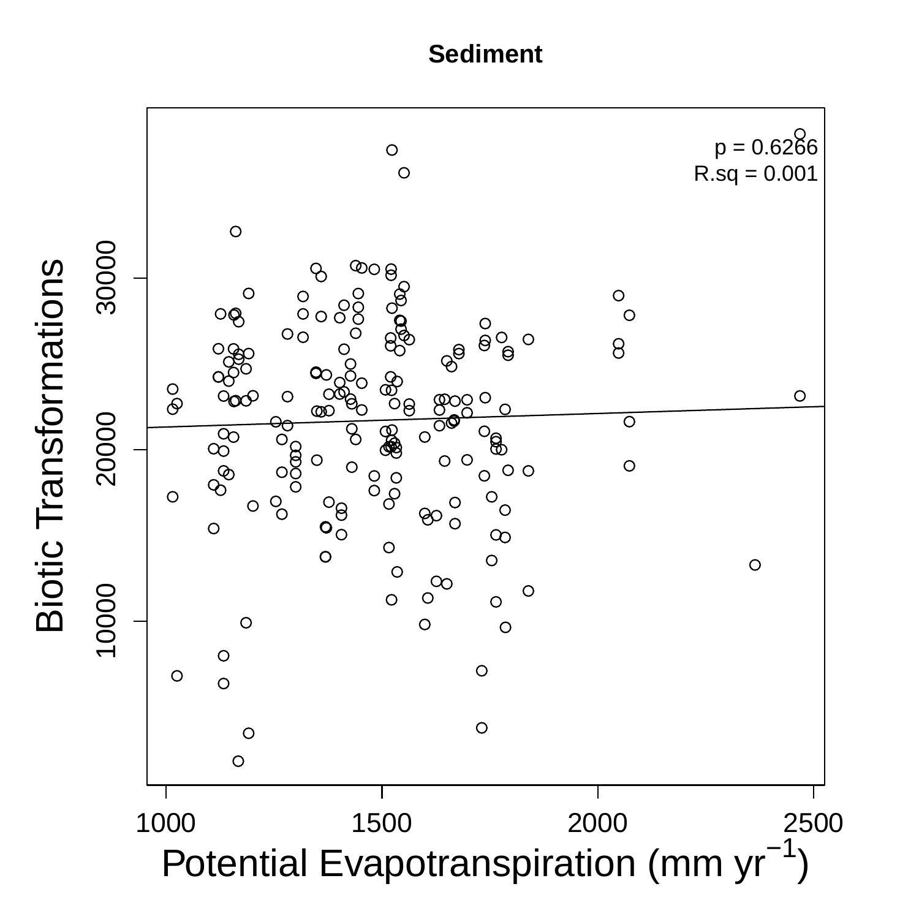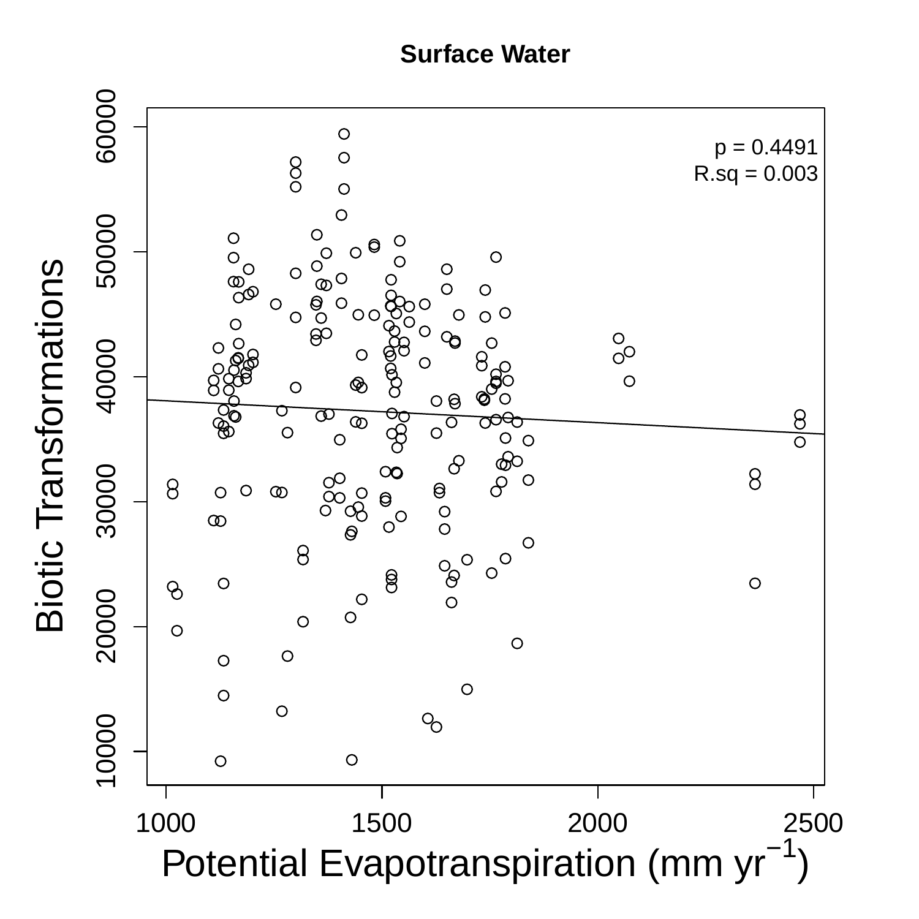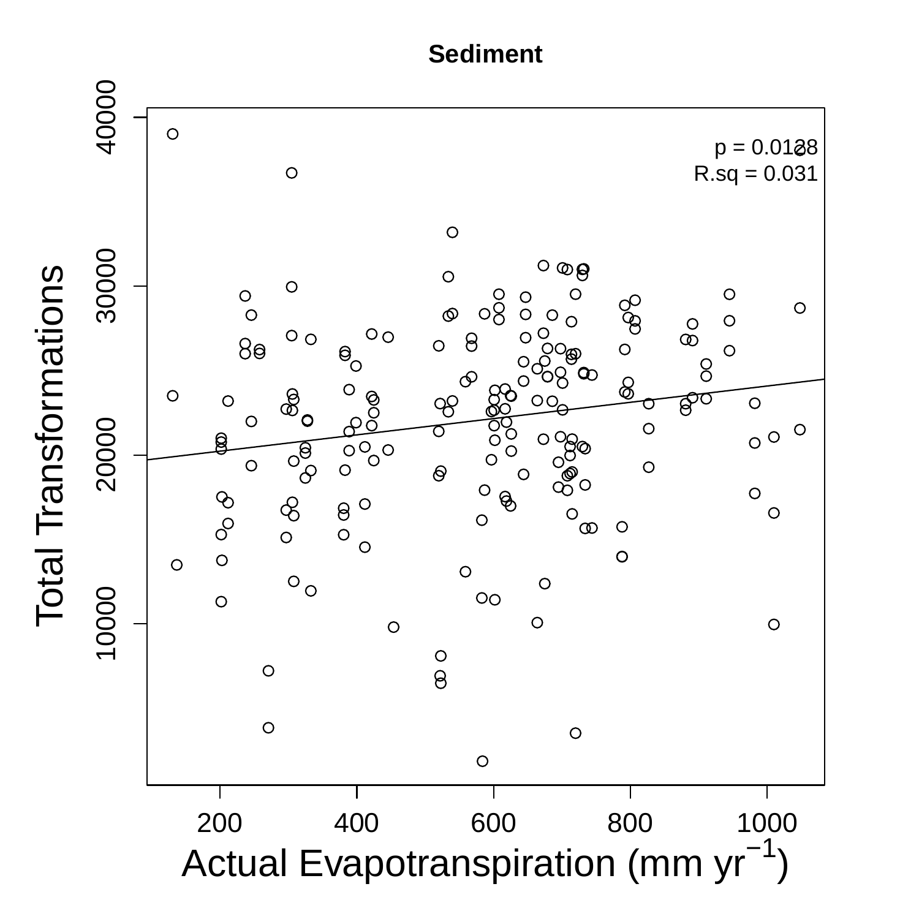

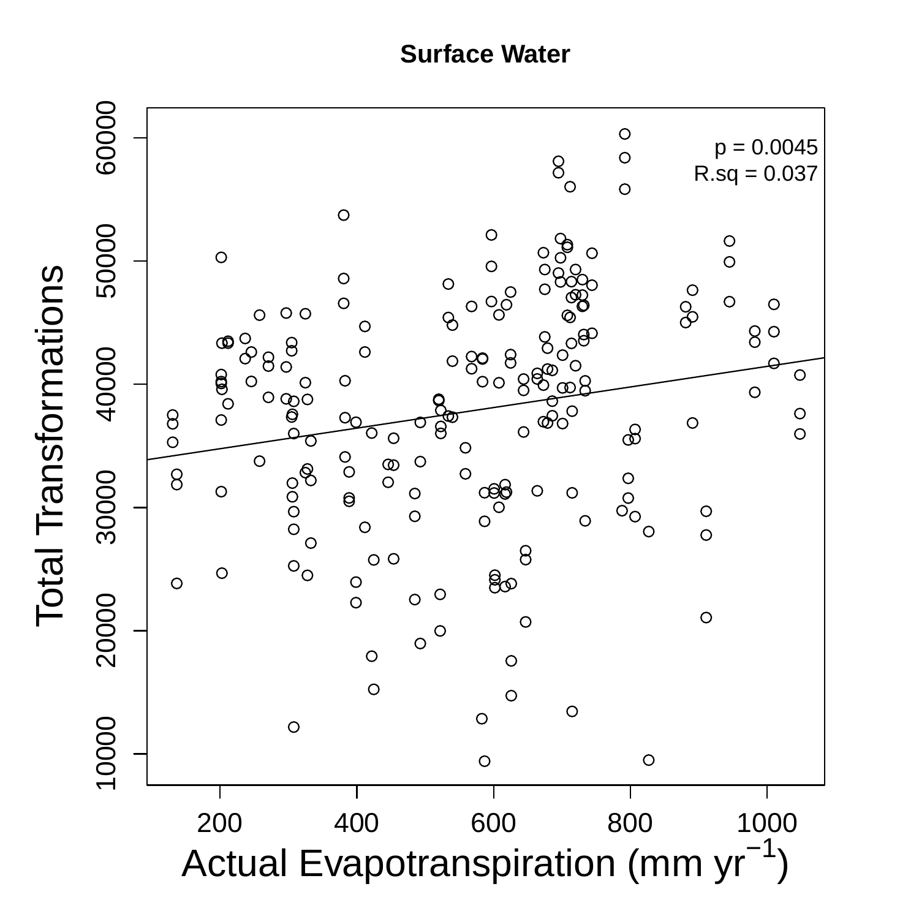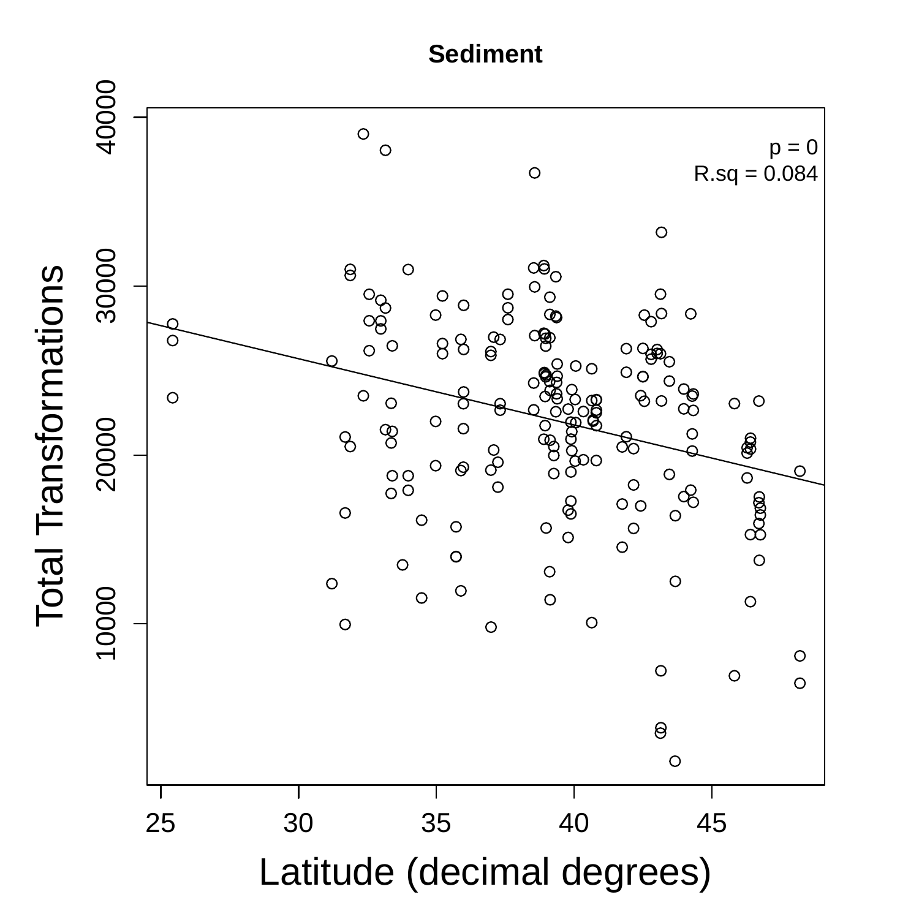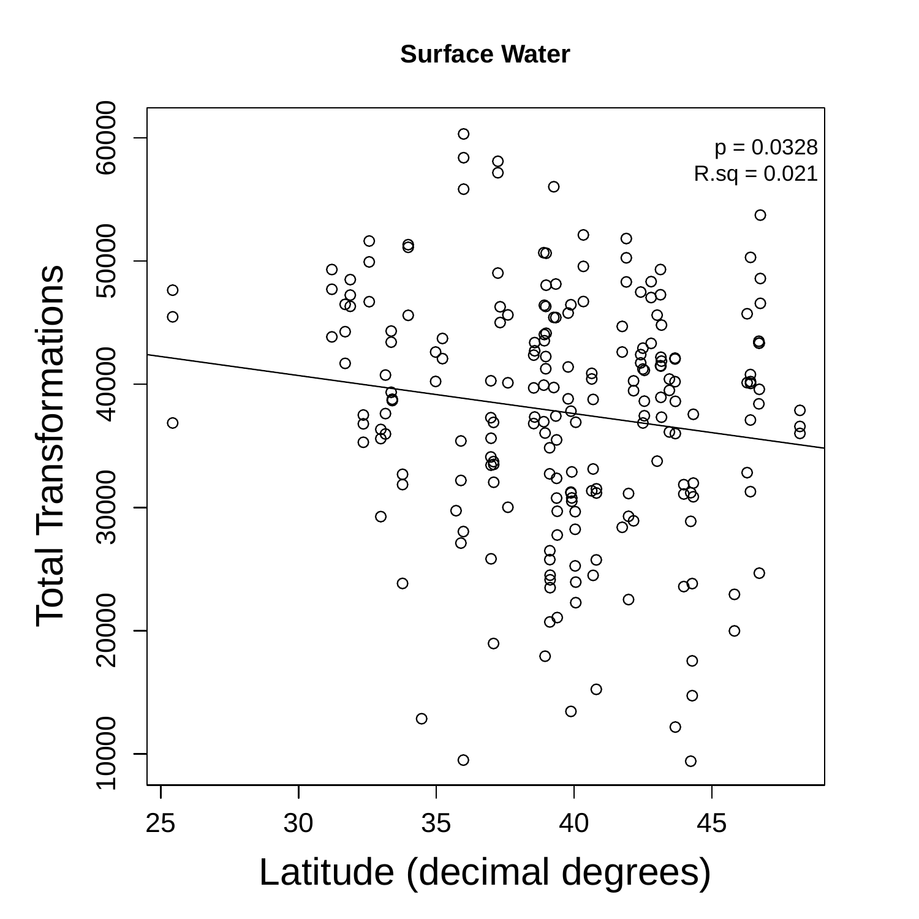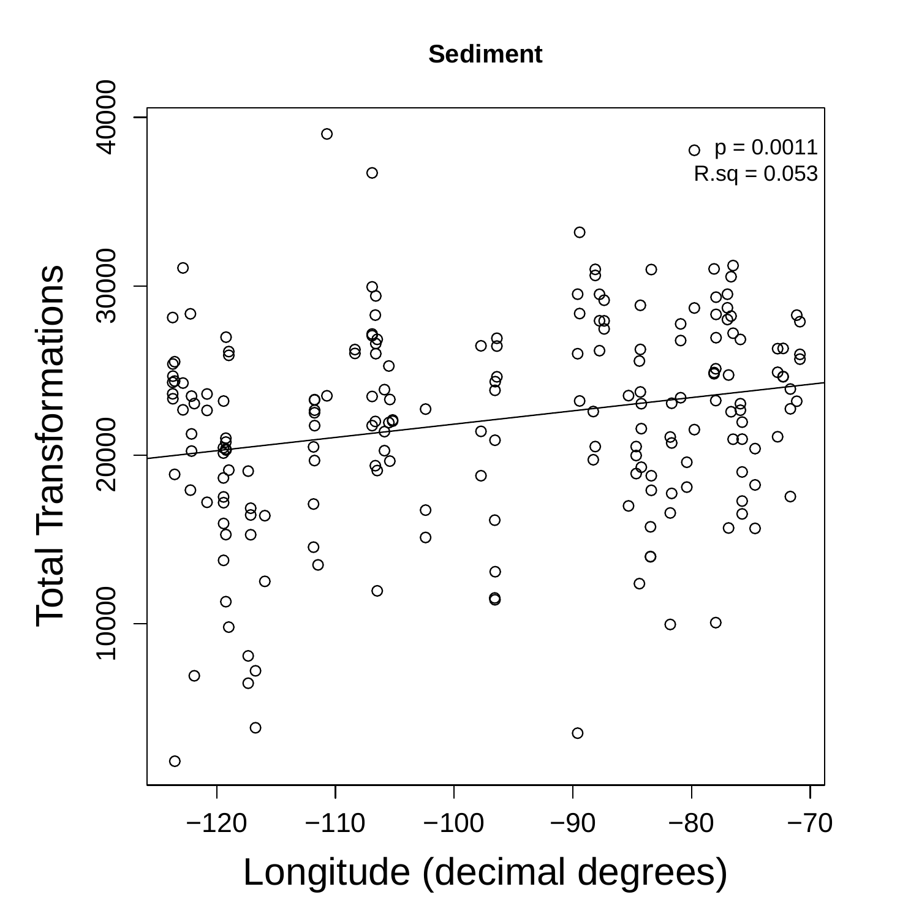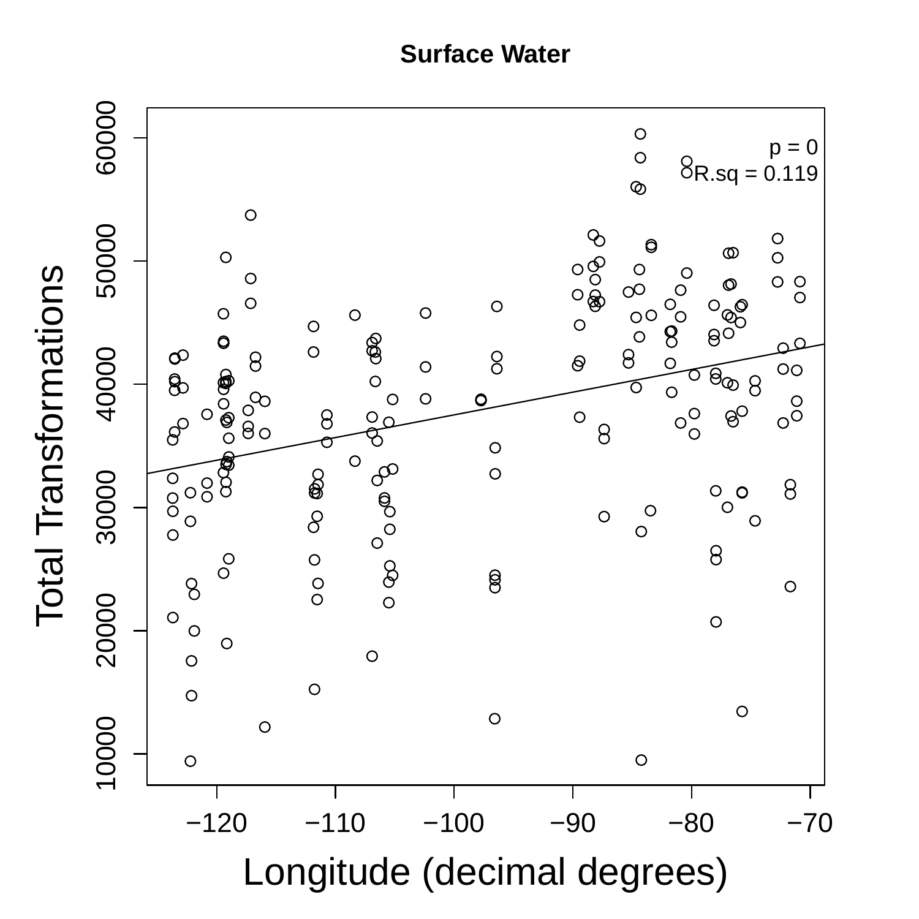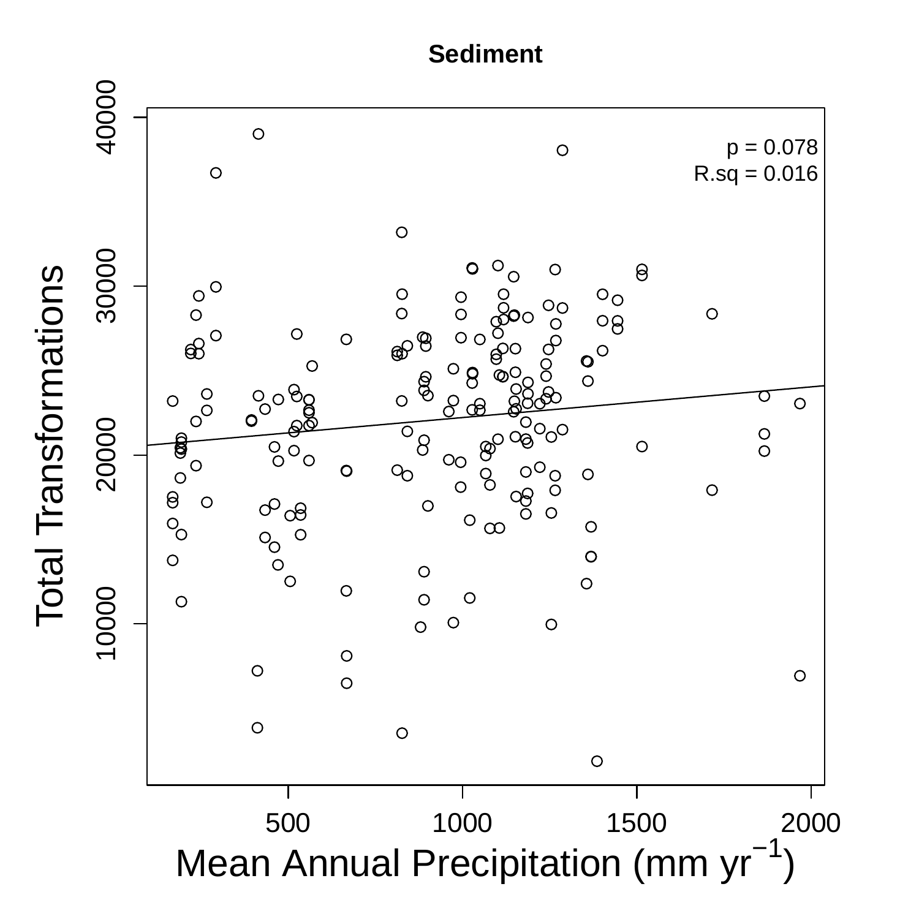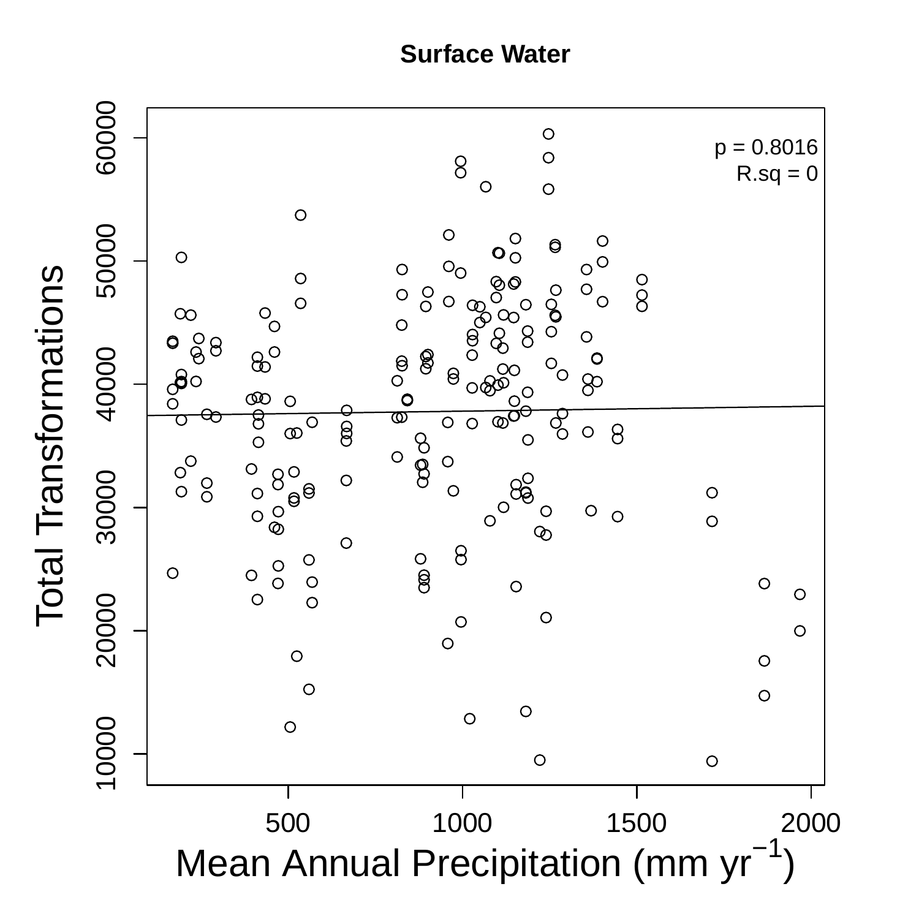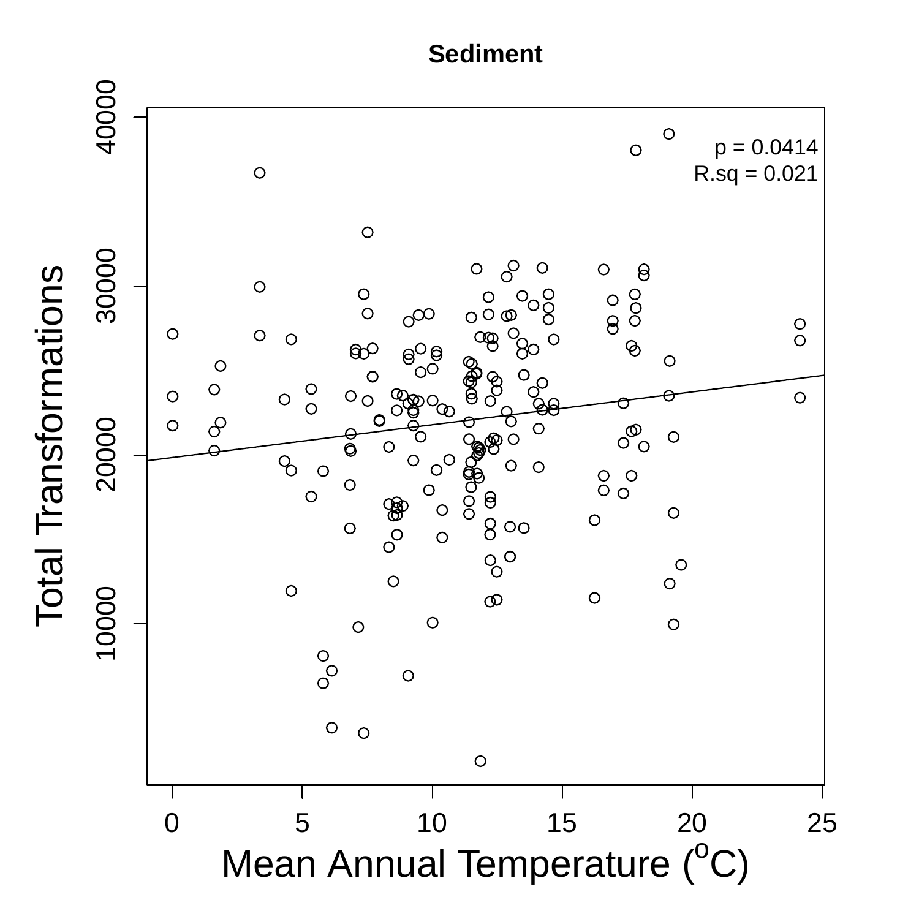

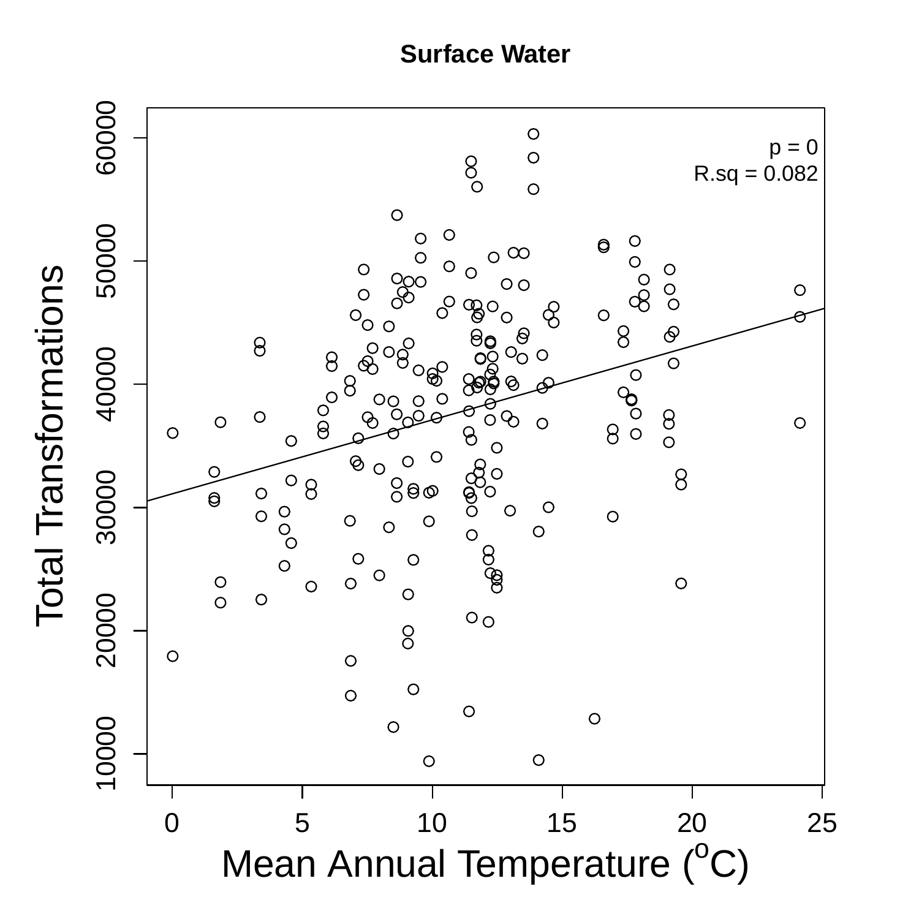

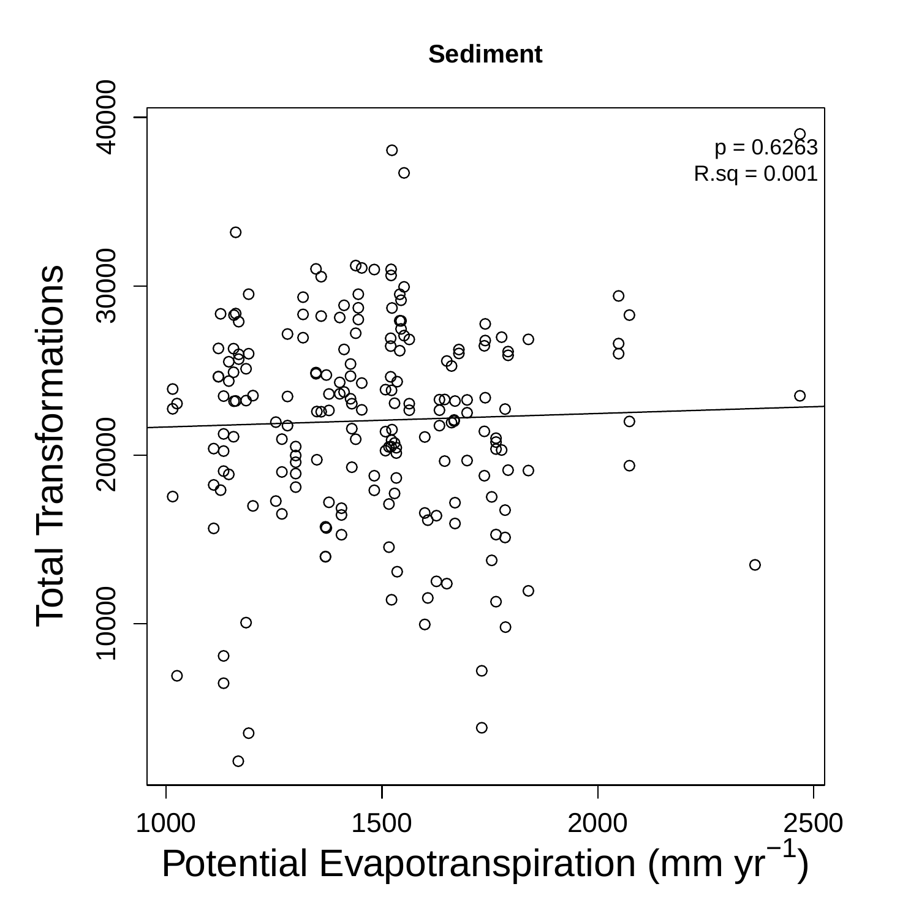